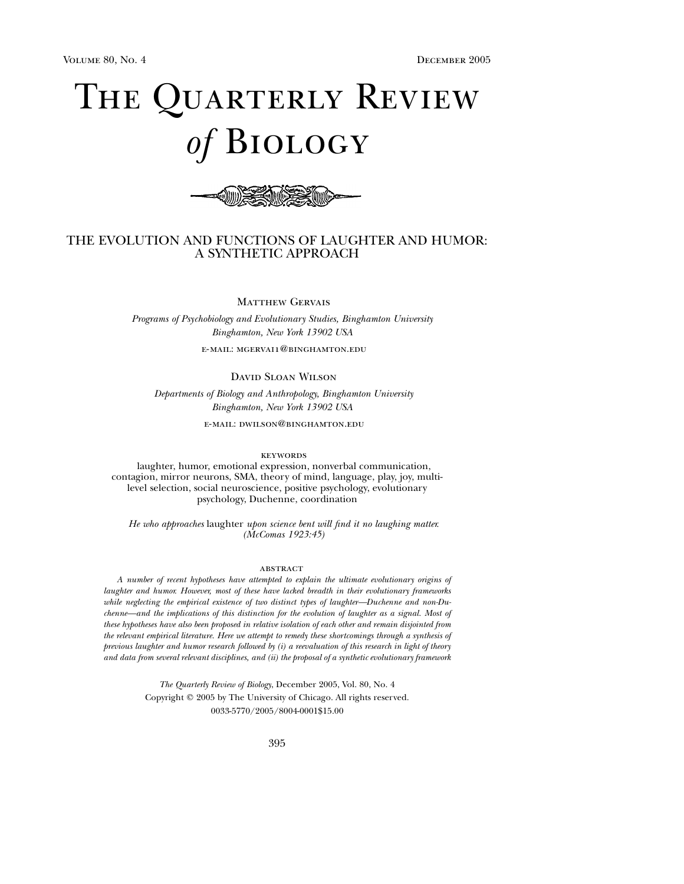# THE QUARTERLY REVIEW *of* Biology



### THE EVOLUTION AND FUNCTIONS OF LAUGHTER AND HUMOR: A SYNTHETIC APPROACH

MATTHEW GERVAIS

*Programs of Psychobiology and Evolutionary Studies, Binghamton University Binghamton, New York 13902 USA*

e-mail: mgervai1@binghamton.edu

David Sloan Wilson

*Departments of Biology and Anthropology, Binghamton University Binghamton, New York 13902 USA*

e-mail: dwilson@binghamton.edu

**KEYWORDS** 

laughter, humor, emotional expression, nonverbal communication, contagion, mirror neurons, SMA, theory of mind, language, play, joy, multilevel selection, social neuroscience, positive psychology, evolutionary psychology, Duchenne, coordination

*He who approaches* laughter *upon science bent will find it no laughing matter. (McComas 1923:45)*

#### **ABSTRACT**

*A number of recent hypotheses have attempted to explain the ultimate evolutionary origins of laughter and humor. However, most of these have lacked breadth in their evolutionary frameworks while neglecting the empirical existence of two distinct types of laughter—Duchenne and non-Duchenne—and the implications of this distinction for the evolution of laughter as a signal. Most of these hypotheses have also been proposed in relative isolation of each other and remain disjointed from the relevant empirical literature. Here we attempt to remedy these shortcomings through a synthesis of previous laughter and humor research followed by (i) a reevaluation of this research in light of theory and data from several relevant disciplines, and (ii) the proposal of a synthetic evolutionary framework*

> *The Quarterly Review of Biology*, December 2005, Vol. 80, No. 4 Copyright  $\odot$  2005 by The University of Chicago. All rights reserved. 0033-5770/2005/8004-0001\$15.00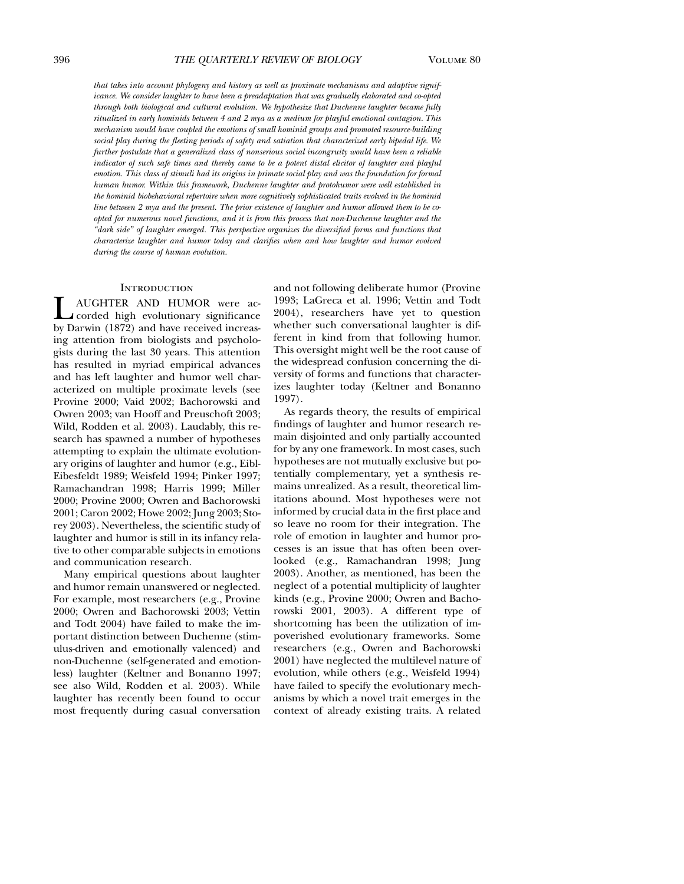*that takes into account phylogeny and history as well as proximate mechanisms and adaptive significance. We consider laughter to have been a preadaptation that was gradually elaborated and co-opted through both biological and cultural evolution. We hypothesize that Duchenne laughter became fully ritualized in early hominids between 4 and 2 mya as a medium for playful emotional contagion. This mechanism would have coupled the emotions of small hominid groups and promoted resource-building social play during the fleeting periods of safety and satiation that characterized early bipedal life. We further postulate that a generalized class of nonserious social incongruity would have been a reliable indicator of such safe times and thereby came to be a potent distal elicitor of laughter and playful emotion. This class of stimuli had its origins in primate social play and was the foundation for formal human humor. Within this framework, Duchenne laughter and protohumor were well established in the hominid biobehavioral repertoire when more cognitively sophisticated traits evolved in the hominid line between 2 mya and the present. The prior existence of laughter and humor allowed them to be coopted for numerous novel functions, and it is from this process that non-Duchenne laughter and the "dark side" of laughter emerged. This perspective organizes the diversified forms and functions that characterize laughter and humor today and clarifies when and how laughter and humor evolved during the course of human evolution.*

#### **INTRODUCTION**

L AUGHTER AND HUMOR were accorded high evolutionary significance by Darwin (1872) and have received increasing attention from biologists and psychologists during the last 30 years. This attention has resulted in myriad empirical advances and has left laughter and humor well characterized on multiple proximate levels (see Provine 2000; Vaid 2002; Bachorowski and Owren 2003; van Hooff and Preuschoft 2003; Wild, Rodden et al. 2003). Laudably, this research has spawned a number of hypotheses attempting to explain the ultimate evolutionary origins of laughter and humor (e.g., Eibl-Eibesfeldt 1989; Weisfeld 1994; Pinker 1997; Ramachandran 1998; Harris 1999; Miller 2000; Provine 2000; Owren and Bachorowski 2001; Caron 2002; Howe 2002; Jung 2003; Storey 2003). Nevertheless, the scientific study of laughter and humor is still in its infancy relative to other comparable subjects in emotions and communication research.

Many empirical questions about laughter and humor remain unanswered or neglected. For example, most researchers (e.g., Provine 2000; Owren and Bachorowski 2003; Vettin and Todt 2004) have failed to make the important distinction between Duchenne (stimulus-driven and emotionally valenced) and non-Duchenne (self-generated and emotionless) laughter (Keltner and Bonanno 1997; see also Wild, Rodden et al. 2003). While laughter has recently been found to occur most frequently during casual conversation

and not following deliberate humor (Provine 1993; LaGreca et al. 1996; Vettin and Todt 2004), researchers have yet to question whether such conversational laughter is different in kind from that following humor. This oversight might well be the root cause of the widespread confusion concerning the diversity of forms and functions that characterizes laughter today (Keltner and Bonanno 1997).

As regards theory, the results of empirical findings of laughter and humor research remain disjointed and only partially accounted for by any one framework. In most cases, such hypotheses are not mutually exclusive but potentially complementary, yet a synthesis remains unrealized. As a result, theoretical limitations abound. Most hypotheses were not informed by crucial data in the first place and so leave no room for their integration. The role of emotion in laughter and humor processes is an issue that has often been overlooked (e.g., Ramachandran 1998; Jung 2003). Another, as mentioned, has been the neglect of a potential multiplicity of laughter kinds (e.g., Provine 2000; Owren and Bachorowski 2001, 2003). A different type of shortcoming has been the utilization of impoverished evolutionary frameworks. Some researchers (e.g., Owren and Bachorowski 2001) have neglected the multilevel nature of evolution, while others (e.g., Weisfeld 1994) have failed to specify the evolutionary mechanisms by which a novel trait emerges in the context of already existing traits. A related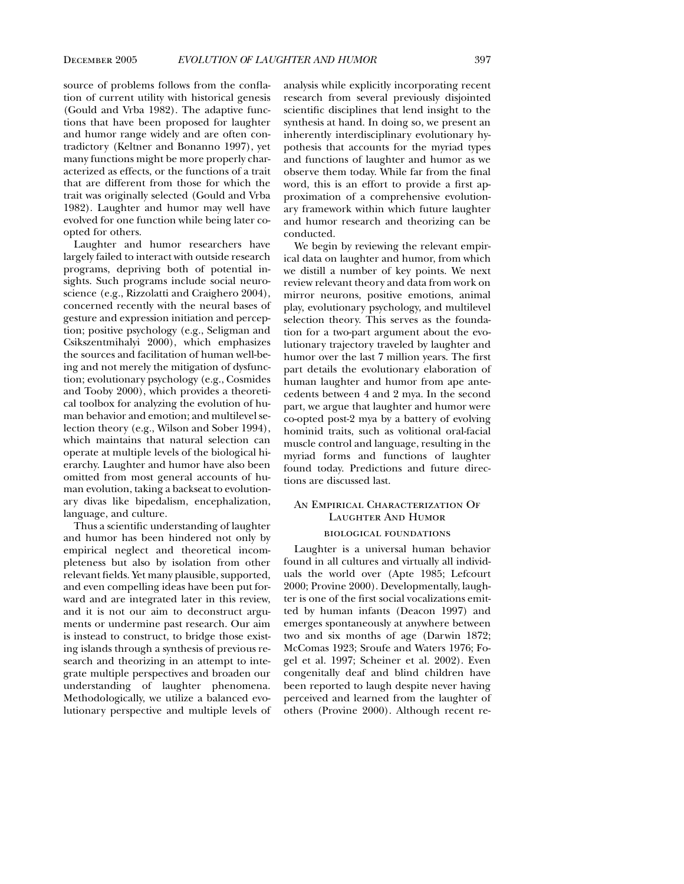source of problems follows from the conflation of current utility with historical genesis (Gould and Vrba 1982). The adaptive functions that have been proposed for laughter and humor range widely and are often contradictory (Keltner and Bonanno 1997), yet many functions might be more properly characterized as effects, or the functions of a trait that are different from those for which the trait was originally selected (Gould and Vrba 1982). Laughter and humor may well have evolved for one function while being later coopted for others.

Laughter and humor researchers have largely failed to interact with outside research programs, depriving both of potential insights. Such programs include social neuroscience (e.g., Rizzolatti and Craighero 2004), concerned recently with the neural bases of gesture and expression initiation and perception; positive psychology (e.g., Seligman and Csikszentmihalyi 2000), which emphasizes the sources and facilitation of human well-being and not merely the mitigation of dysfunction; evolutionary psychology (e.g., Cosmides and Tooby 2000), which provides a theoretical toolbox for analyzing the evolution of human behavior and emotion; and multilevel selection theory (e.g., Wilson and Sober 1994), which maintains that natural selection can operate at multiple levels of the biological hierarchy. Laughter and humor have also been omitted from most general accounts of human evolution, taking a backseat to evolutionary divas like bipedalism, encephalization, language, and culture.

Thus a scientific understanding of laughter and humor has been hindered not only by empirical neglect and theoretical incompleteness but also by isolation from other relevant fields. Yet many plausible, supported, and even compelling ideas have been put forward and are integrated later in this review, and it is not our aim to deconstruct arguments or undermine past research. Our aim is instead to construct, to bridge those existing islands through a synthesis of previous research and theorizing in an attempt to integrate multiple perspectives and broaden our understanding of laughter phenomena. Methodologically, we utilize a balanced evolutionary perspective and multiple levels of analysis while explicitly incorporating recent research from several previously disjointed scientific disciplines that lend insight to the synthesis at hand. In doing so, we present an inherently interdisciplinary evolutionary hypothesis that accounts for the myriad types and functions of laughter and humor as we observe them today. While far from the final word, this is an effort to provide a first approximation of a comprehensive evolutionary framework within which future laughter and humor research and theorizing can be conducted.

We begin by reviewing the relevant empirical data on laughter and humor, from which we distill a number of key points. We next review relevant theory and data from work on mirror neurons, positive emotions, animal play, evolutionary psychology, and multilevel selection theory. This serves as the foundation for a two-part argument about the evolutionary trajectory traveled by laughter and humor over the last 7 million years. The first part details the evolutionary elaboration of human laughter and humor from ape antecedents between 4 and 2 mya. In the second part, we argue that laughter and humor were co-opted post-2 mya by a battery of evolving hominid traits, such as volitional oral-facial muscle control and language, resulting in the myriad forms and functions of laughter found today. Predictions and future directions are discussed last.

## AN EMPIRICAL CHARACTERIZATION OF LAUGHTER AND HUMOR

#### biological foundations

Laughter is a universal human behavior found in all cultures and virtually all individuals the world over (Apte 1985; Lefcourt 2000; Provine 2000). Developmentally, laughter is one of the first social vocalizations emitted by human infants (Deacon 1997) and emerges spontaneously at anywhere between two and six months of age (Darwin 1872; McComas 1923; Sroufe and Waters 1976; Fogel et al. 1997; Scheiner et al. 2002). Even congenitally deaf and blind children have been reported to laugh despite never having perceived and learned from the laughter of others (Provine 2000). Although recent re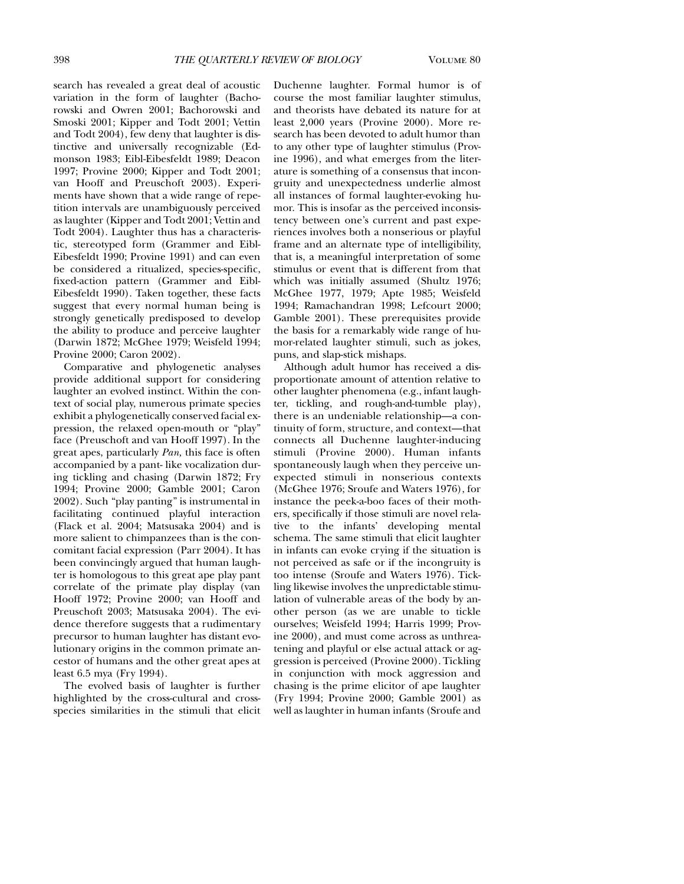search has revealed a great deal of acoustic variation in the form of laughter (Bachorowski and Owren 2001; Bachorowski and Smoski 2001; Kipper and Todt 2001; Vettin and Todt 2004), few deny that laughter is distinctive and universally recognizable (Edmonson 1983; Eibl-Eibesfeldt 1989; Deacon 1997; Provine 2000; Kipper and Todt 2001; van Hooff and Preuschoft 2003). Experiments have shown that a wide range of repetition intervals are unambiguously perceived as laughter (Kipper and Todt 2001; Vettin and Todt 2004). Laughter thus has a characteristic, stereotyped form (Grammer and Eibl-Eibesfeldt 1990; Provine 1991) and can even be considered a ritualized, species-specific, fixed-action pattern (Grammer and Eibl-Eibesfeldt 1990). Taken together, these facts suggest that every normal human being is strongly genetically predisposed to develop the ability to produce and perceive laughter (Darwin 1872; McGhee 1979; Weisfeld 1994; Provine 2000; Caron 2002).

Comparative and phylogenetic analyses provide additional support for considering laughter an evolved instinct. Within the context of social play, numerous primate species exhibit a phylogenetically conserved facial expression, the relaxed open-mouth or "play" face (Preuschoft and van Hooff 1997). In the great apes, particularly *Pan,* this face is often accompanied by a pant- like vocalization during tickling and chasing (Darwin 1872; Fry 1994; Provine 2000; Gamble 2001; Caron 2002). Such "play panting" is instrumental in facilitating continued playful interaction (Flack et al. 2004; Matsusaka 2004) and is more salient to chimpanzees than is the concomitant facial expression (Parr 2004). It has been convincingly argued that human laughter is homologous to this great ape play pant correlate of the primate play display (van Hooff 1972; Provine 2000; van Hooff and Preuschoft 2003; Matsusaka 2004). The evidence therefore suggests that a rudimentary precursor to human laughter has distant evolutionary origins in the common primate ancestor of humans and the other great apes at least 6.5 mya (Fry 1994).

The evolved basis of laughter is further highlighted by the cross-cultural and crossspecies similarities in the stimuli that elicit

Duchenne laughter. Formal humor is of course the most familiar laughter stimulus, and theorists have debated its nature for at least 2,000 years (Provine 2000). More research has been devoted to adult humor than to any other type of laughter stimulus (Provine 1996), and what emerges from the literature is something of a consensus that incongruity and unexpectedness underlie almost all instances of formal laughter-evoking humor. This is insofar as the perceived inconsistency between one's current and past experiences involves both a nonserious or playful frame and an alternate type of intelligibility, that is, a meaningful interpretation of some stimulus or event that is different from that which was initially assumed (Shultz 1976; McGhee 1977, 1979; Apte 1985; Weisfeld 1994; Ramachandran 1998; Lefcourt 2000; Gamble 2001). These prerequisites provide the basis for a remarkably wide range of humor-related laughter stimuli, such as jokes, puns, and slap-stick mishaps.

Although adult humor has received a disproportionate amount of attention relative to other laughter phenomena (e.g., infant laughter, tickling, and rough-and-tumble play), there is an undeniable relationship—a continuity of form, structure, and context—that connects all Duchenne laughter-inducing stimuli (Provine 2000). Human infants spontaneously laugh when they perceive unexpected stimuli in nonserious contexts (McGhee 1976; Sroufe and Waters 1976), for instance the peek-a-boo faces of their mothers, specifically if those stimuli are novel relative to the infants' developing mental schema. The same stimuli that elicit laughter in infants can evoke crying if the situation is not perceived as safe or if the incongruity is too intense (Sroufe and Waters 1976). Tickling likewise involves the unpredictable stimulation of vulnerable areas of the body by another person (as we are unable to tickle ourselves; Weisfeld 1994; Harris 1999; Provine 2000), and must come across as unthreatening and playful or else actual attack or aggression is perceived (Provine 2000). Tickling in conjunction with mock aggression and chasing is the prime elicitor of ape laughter (Fry 1994; Provine 2000; Gamble 2001) as well as laughter in human infants (Sroufe and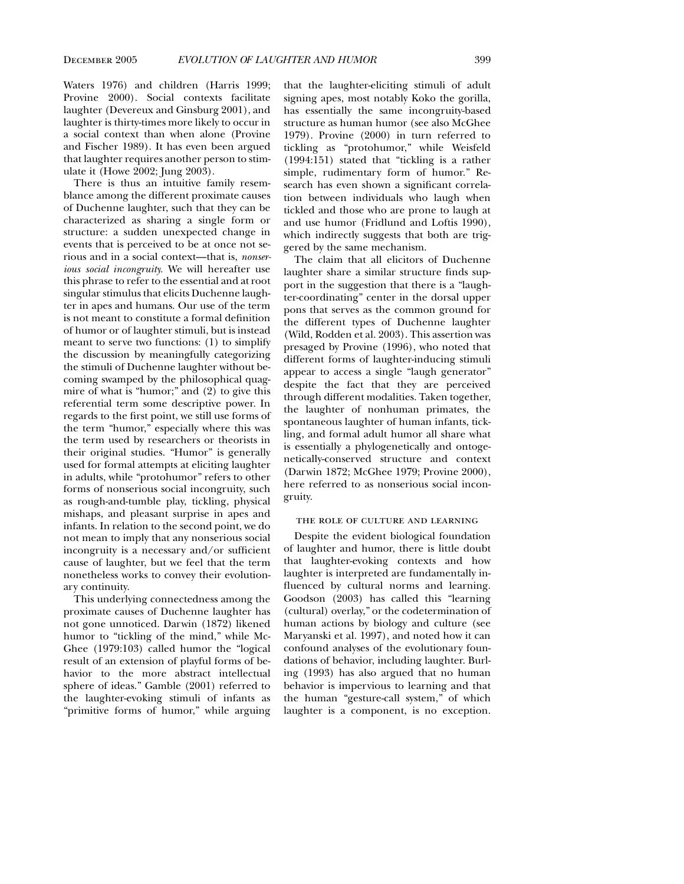Waters 1976) and children (Harris 1999; Provine 2000). Social contexts facilitate laughter (Devereux and Ginsburg 2001), and laughter is thirty-times more likely to occur in a social context than when alone (Provine and Fischer 1989). It has even been argued that laughter requires another person to stimulate it (Howe 2002; Jung 2003).

There is thus an intuitive family resemblance among the different proximate causes of Duchenne laughter, such that they can be characterized as sharing a single form or structure: a sudden unexpected change in events that is perceived to be at once not serious and in a social context—that is, *nonserious social incongruity.* We will hereafter use this phrase to refer to the essential and at root singular stimulus that elicits Duchenne laughter in apes and humans. Our use of the term is not meant to constitute a formal definition of humor or of laughter stimuli, but is instead meant to serve two functions: (1) to simplify the discussion by meaningfully categorizing the stimuli of Duchenne laughter without becoming swamped by the philosophical quagmire of what is "humor;" and (2) to give this referential term some descriptive power. In regards to the first point, we still use forms of the term "humor," especially where this was the term used by researchers or theorists in their original studies. "Humor" is generally used for formal attempts at eliciting laughter in adults, while "protohumor" refers to other forms of nonserious social incongruity, such as rough-and-tumble play, tickling, physical mishaps, and pleasant surprise in apes and infants. In relation to the second point, we do not mean to imply that any nonserious social incongruity is a necessary and/or sufficient cause of laughter, but we feel that the term nonetheless works to convey their evolutionary continuity.

This underlying connectedness among the proximate causes of Duchenne laughter has not gone unnoticed. Darwin (1872) likened humor to "tickling of the mind," while Mc-Ghee (1979:103) called humor the "logical result of an extension of playful forms of behavior to the more abstract intellectual sphere of ideas." Gamble (2001) referred to the laughter-evoking stimuli of infants as "primitive forms of humor," while arguing

that the laughter-eliciting stimuli of adult signing apes, most notably Koko the gorilla, has essentially the same incongruity-based structure as human humor (see also McGhee 1979). Provine (2000) in turn referred to tickling as "protohumor," while Weisfeld (1994:151) stated that "tickling is a rather simple, rudimentary form of humor." Research has even shown a significant correlation between individuals who laugh when tickled and those who are prone to laugh at and use humor (Fridlund and Loftis 1990), which indirectly suggests that both are triggered by the same mechanism.

The claim that all elicitors of Duchenne laughter share a similar structure finds support in the suggestion that there is a "laughter-coordinating" center in the dorsal upper pons that serves as the common ground for the different types of Duchenne laughter (Wild, Rodden et al. 2003). This assertion was presaged by Provine (1996), who noted that different forms of laughter-inducing stimuli appear to access a single "laugh generator" despite the fact that they are perceived through different modalities. Taken together, the laughter of nonhuman primates, the spontaneous laughter of human infants, tickling, and formal adult humor all share what is essentially a phylogenetically and ontogenetically-conserved structure and context (Darwin 1872; McGhee 1979; Provine 2000), here referred to as nonserious social incongruity.

#### the role of culture and learning

Despite the evident biological foundation of laughter and humor, there is little doubt that laughter-evoking contexts and how laughter is interpreted are fundamentally influenced by cultural norms and learning. Goodson (2003) has called this "learning (cultural) overlay," or the codetermination of human actions by biology and culture (see Maryanski et al. 1997), and noted how it can confound analyses of the evolutionary foundations of behavior, including laughter. Burling (1993) has also argued that no human behavior is impervious to learning and that the human "gesture-call system," of which laughter is a component, is no exception.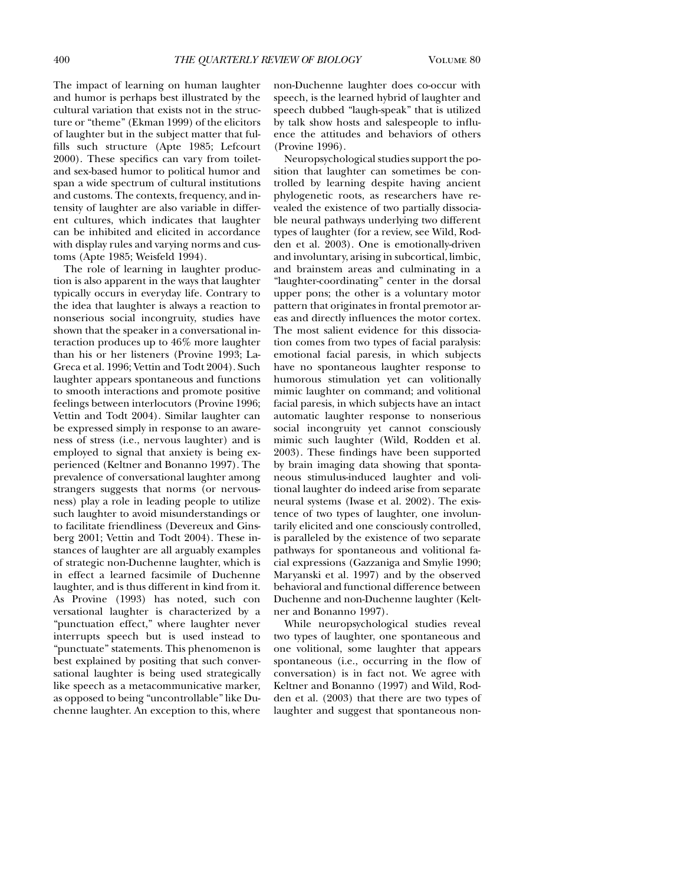The impact of learning on human laughter and humor is perhaps best illustrated by the cultural variation that exists not in the structure or "theme" (Ekman 1999) of the elicitors of laughter but in the subject matter that fulfills such structure (Apte 1985; Lefcourt 2000). These specifics can vary from toiletand sex-based humor to political humor and span a wide spectrum of cultural institutions and customs. The contexts, frequency, and intensity of laughter are also variable in different cultures, which indicates that laughter can be inhibited and elicited in accordance with display rules and varying norms and customs (Apte 1985; Weisfeld 1994).

The role of learning in laughter production is also apparent in the ways that laughter typically occurs in everyday life. Contrary to the idea that laughter is always a reaction to nonserious social incongruity, studies have shown that the speaker in a conversational interaction produces up to 46% more laughter than his or her listeners (Provine 1993; La-Greca et al. 1996; Vettin and Todt 2004). Such laughter appears spontaneous and functions to smooth interactions and promote positive feelings between interlocutors (Provine 1996; Vettin and Todt 2004). Similar laughter can be expressed simply in response to an awareness of stress (i.e., nervous laughter) and is employed to signal that anxiety is being experienced (Keltner and Bonanno 1997). The prevalence of conversational laughter among strangers suggests that norms (or nervousness) play a role in leading people to utilize such laughter to avoid misunderstandings or to facilitate friendliness (Devereux and Ginsberg 2001; Vettin and Todt 2004). These instances of laughter are all arguably examples of strategic non-Duchenne laughter, which is in effect a learned facsimile of Duchenne laughter, and is thus different in kind from it. As Provine (1993) has noted, such con versational laughter is characterized by a "punctuation effect," where laughter never interrupts speech but is used instead to "punctuate" statements. This phenomenon is best explained by positing that such conversational laughter is being used strategically like speech as a metacommunicative marker, as opposed to being "uncontrollable" like Duchenne laughter. An exception to this, where

non-Duchenne laughter does co-occur with speech, is the learned hybrid of laughter and speech dubbed "laugh-speak" that is utilized by talk show hosts and salespeople to influence the attitudes and behaviors of others (Provine 1996).

Neuropsychological studies support the position that laughter can sometimes be controlled by learning despite having ancient phylogenetic roots, as researchers have revealed the existence of two partially dissociable neural pathways underlying two different types of laughter (for a review, see Wild, Rodden et al. 2003). One is emotionally-driven and involuntary, arising in subcortical, limbic, and brainstem areas and culminating in a "laughter-coordinating" center in the dorsal upper pons; the other is a voluntary motor pattern that originates in frontal premotor areas and directly influences the motor cortex. The most salient evidence for this dissociation comes from two types of facial paralysis: emotional facial paresis, in which subjects have no spontaneous laughter response to humorous stimulation yet can volitionally mimic laughter on command; and volitional facial paresis, in which subjects have an intact automatic laughter response to nonserious social incongruity yet cannot consciously mimic such laughter (Wild, Rodden et al. 2003). These findings have been supported by brain imaging data showing that spontaneous stimulus-induced laughter and volitional laughter do indeed arise from separate neural systems (Iwase et al. 2002). The existence of two types of laughter, one involuntarily elicited and one consciously controlled, is paralleled by the existence of two separate pathways for spontaneous and volitional facial expressions (Gazzaniga and Smylie 1990; Maryanski et al. 1997) and by the observed behavioral and functional difference between Duchenne and non-Duchenne laughter (Keltner and Bonanno 1997).

While neuropsychological studies reveal two types of laughter, one spontaneous and one volitional, some laughter that appears spontaneous (i.e., occurring in the flow of conversation) is in fact not. We agree with Keltner and Bonanno (1997) and Wild, Rodden et al. (2003) that there are two types of laughter and suggest that spontaneous non-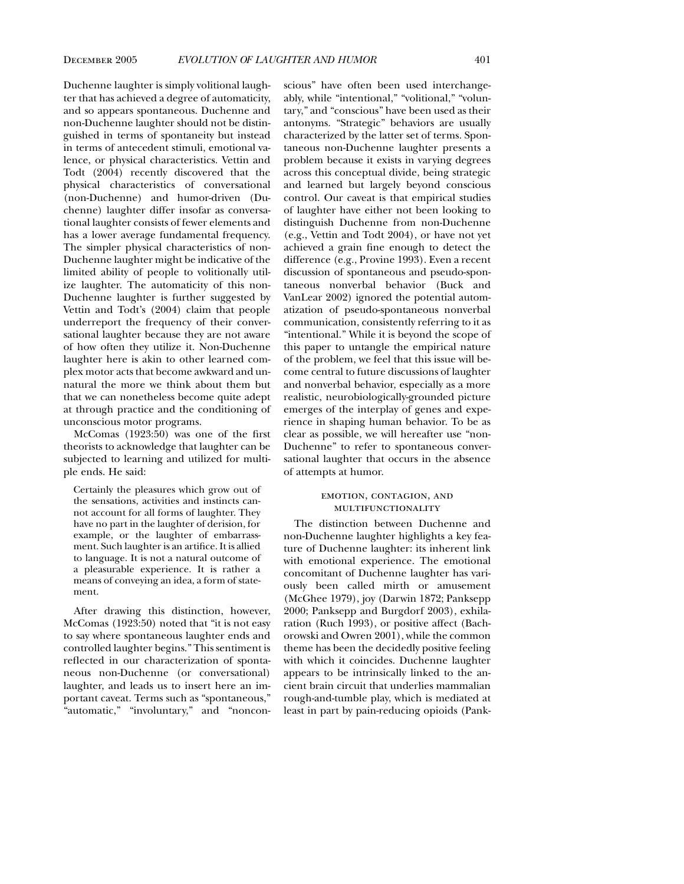Duchenne laughter is simply volitional laughter that has achieved a degree of automaticity, and so appears spontaneous. Duchenne and non-Duchenne laughter should not be distinguished in terms of spontaneity but instead in terms of antecedent stimuli, emotional valence, or physical characteristics. Vettin and Todt (2004) recently discovered that the physical characteristics of conversational (non-Duchenne) and humor-driven (Duchenne) laughter differ insofar as conversational laughter consists of fewer elements and has a lower average fundamental frequency. The simpler physical characteristics of non-Duchenne laughter might be indicative of the limited ability of people to volitionally utilize laughter. The automaticity of this non-Duchenne laughter is further suggested by Vettin and Todt's (2004) claim that people underreport the frequency of their conversational laughter because they are not aware of how often they utilize it. Non-Duchenne laughter here is akin to other learned complex motor acts that become awkward and unnatural the more we think about them but that we can nonetheless become quite adept at through practice and the conditioning of unconscious motor programs.

McComas (1923:50) was one of the first theorists to acknowledge that laughter can be subjected to learning and utilized for multiple ends. He said:

Certainly the pleasures which grow out of the sensations, activities and instincts cannot account for all forms of laughter. They have no part in the laughter of derision, for example, or the laughter of embarrassment. Such laughter is an artifice. It is allied to language. It is not a natural outcome of a pleasurable experience. It is rather a means of conveying an idea, a form of statement.

After drawing this distinction, however, McComas (1923:50) noted that "it is not easy to say where spontaneous laughter ends and controlled laughter begins." This sentiment is reflected in our characterization of spontaneous non-Duchenne (or conversational) laughter, and leads us to insert here an important caveat. Terms such as "spontaneous," "automatic," "involuntary," and "nonconscious" have often been used interchangeably, while "intentional," "volitional," "voluntary," and "conscious" have been used as their antonyms. "Strategic" behaviors are usually characterized by the latter set of terms. Spontaneous non-Duchenne laughter presents a problem because it exists in varying degrees across this conceptual divide, being strategic and learned but largely beyond conscious control. Our caveat is that empirical studies of laughter have either not been looking to distinguish Duchenne from non-Duchenne (e.g., Vettin and Todt 2004), or have not yet achieved a grain fine enough to detect the difference (e.g., Provine 1993). Even a recent discussion of spontaneous and pseudo-spontaneous nonverbal behavior (Buck and VanLear 2002) ignored the potential automatization of pseudo-spontaneous nonverbal communication, consistently referring to it as "intentional." While it is beyond the scope of this paper to untangle the empirical nature of the problem, we feel that this issue will become central to future discussions of laughter and nonverbal behavior, especially as a more realistic, neurobiologically-grounded picture emerges of the interplay of genes and experience in shaping human behavior. To be as clear as possible, we will hereafter use "non-Duchenne" to refer to spontaneous conversational laughter that occurs in the absence of attempts at humor.

#### emotion, contagion, and multifunctionality

The distinction between Duchenne and non-Duchenne laughter highlights a key feature of Duchenne laughter: its inherent link with emotional experience. The emotional concomitant of Duchenne laughter has variously been called mirth or amusement (McGhee 1979), joy (Darwin 1872; Panksepp 2000; Panksepp and Burgdorf 2003), exhilaration (Ruch 1993), or positive affect (Bachorowski and Owren 2001), while the common theme has been the decidedly positive feeling with which it coincides. Duchenne laughter appears to be intrinsically linked to the ancient brain circuit that underlies mammalian rough-and-tumble play, which is mediated at least in part by pain-reducing opioids (Pank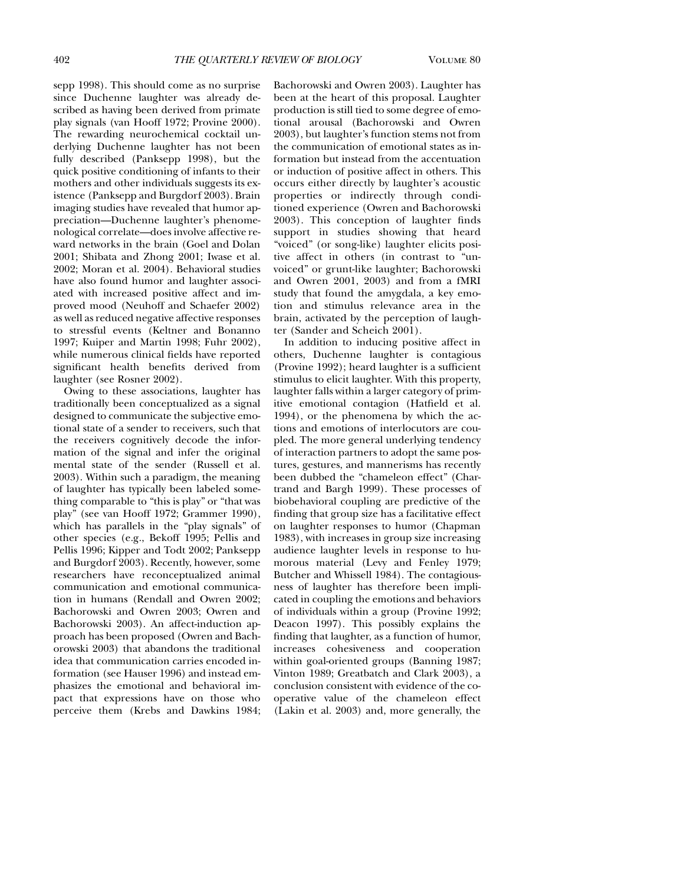sepp 1998). This should come as no surprise since Duchenne laughter was already described as having been derived from primate play signals (van Hooff 1972; Provine 2000). The rewarding neurochemical cocktail underlying Duchenne laughter has not been fully described (Panksepp 1998), but the quick positive conditioning of infants to their mothers and other individuals suggests its existence (Panksepp and Burgdorf 2003). Brain imaging studies have revealed that humor appreciation—Duchenne laughter's phenomenological correlate—does involve affective reward networks in the brain (Goel and Dolan 2001; Shibata and Zhong 2001; Iwase et al. 2002; Moran et al. 2004). Behavioral studies have also found humor and laughter associated with increased positive affect and improved mood (Neuhoff and Schaefer 2002) as well as reduced negative affective responses to stressful events (Keltner and Bonanno 1997; Kuiper and Martin 1998; Fuhr 2002), while numerous clinical fields have reported significant health benefits derived from laughter (see Rosner 2002).

Owing to these associations, laughter has traditionally been conceptualized as a signal designed to communicate the subjective emotional state of a sender to receivers, such that the receivers cognitively decode the information of the signal and infer the original mental state of the sender (Russell et al. 2003). Within such a paradigm, the meaning of laughter has typically been labeled something comparable to "this is play" or "that was play" (see van Hooff 1972; Grammer 1990), which has parallels in the "play signals" of other species (e.g., Bekoff 1995; Pellis and Pellis 1996; Kipper and Todt 2002; Panksepp and Burgdorf 2003). Recently, however, some researchers have reconceptualized animal communication and emotional communication in humans (Rendall and Owren 2002; Bachorowski and Owren 2003; Owren and Bachorowski 2003). An affect-induction approach has been proposed (Owren and Bachorowski 2003) that abandons the traditional idea that communication carries encoded information (see Hauser 1996) and instead emphasizes the emotional and behavioral impact that expressions have on those who perceive them (Krebs and Dawkins 1984;

Bachorowski and Owren 2003). Laughter has been at the heart of this proposal. Laughter production is still tied to some degree of emotional arousal (Bachorowski and Owren 2003), but laughter's function stems not from the communication of emotional states as information but instead from the accentuation or induction of positive affect in others. This occurs either directly by laughter's acoustic properties or indirectly through conditioned experience (Owren and Bachorowski 2003). This conception of laughter finds support in studies showing that heard "voiced" (or song-like) laughter elicits positive affect in others (in contrast to "unvoiced" or grunt-like laughter; Bachorowski and Owren 2001, 2003) and from a fMRI study that found the amygdala, a key emotion and stimulus relevance area in the brain, activated by the perception of laughter (Sander and Scheich 2001).

In addition to inducing positive affect in others, Duchenne laughter is contagious (Provine 1992); heard laughter is a sufficient stimulus to elicit laughter. With this property, laughter falls within a larger category of primitive emotional contagion (Hatfield et al. 1994), or the phenomena by which the actions and emotions of interlocutors are coupled. The more general underlying tendency of interaction partners to adopt the same postures, gestures, and mannerisms has recently been dubbed the "chameleon effect" (Chartrand and Bargh 1999). These processes of biobehavioral coupling are predictive of the finding that group size has a facilitative effect on laughter responses to humor (Chapman 1983), with increases in group size increasing audience laughter levels in response to humorous material (Levy and Fenley 1979; Butcher and Whissell 1984). The contagiousness of laughter has therefore been implicated in coupling the emotions and behaviors of individuals within a group (Provine 1992; Deacon 1997). This possibly explains the finding that laughter, as a function of humor, increases cohesiveness and cooperation within goal-oriented groups (Banning 1987; Vinton 1989; Greatbatch and Clark 2003), a conclusion consistent with evidence of the cooperative value of the chameleon effect (Lakin et al. 2003) and, more generally, the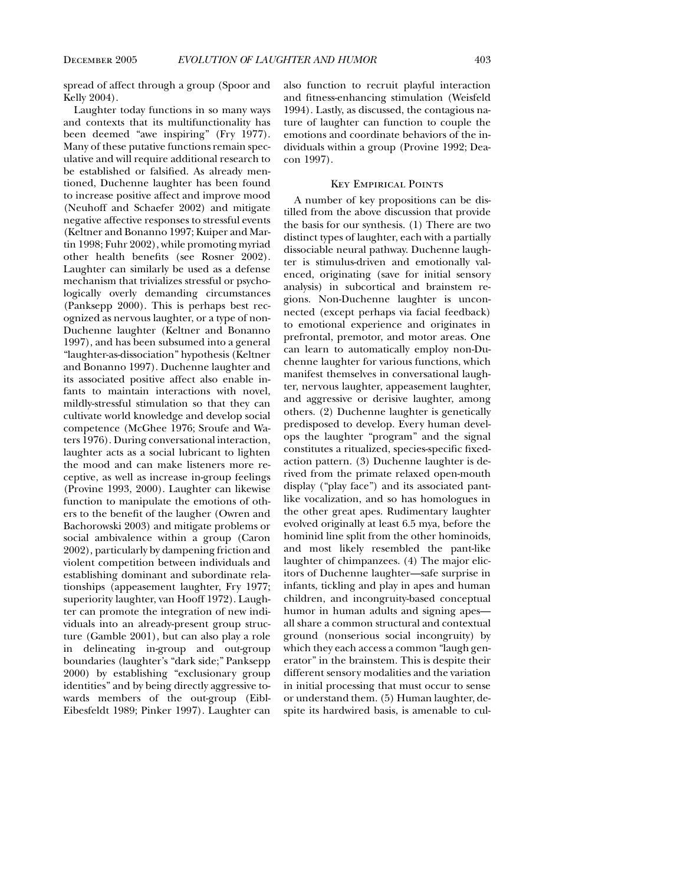spread of affect through a group (Spoor and Kelly 2004).

Laughter today functions in so many ways and contexts that its multifunctionality has been deemed "awe inspiring" (Fry 1977). Many of these putative functions remain speculative and will require additional research to be established or falsified. As already mentioned, Duchenne laughter has been found to increase positive affect and improve mood (Neuhoff and Schaefer 2002) and mitigate negative affective responses to stressful events (Keltner and Bonanno 1997; Kuiper and Martin 1998; Fuhr 2002), while promoting myriad other health benefits (see Rosner 2002). Laughter can similarly be used as a defense mechanism that trivializes stressful or psychologically overly demanding circumstances (Panksepp 2000). This is perhaps best recognized as nervous laughter, or a type of non-Duchenne laughter (Keltner and Bonanno 1997), and has been subsumed into a general "laughter-as-dissociation" hypothesis (Keltner and Bonanno 1997). Duchenne laughter and its associated positive affect also enable infants to maintain interactions with novel, mildly-stressful stimulation so that they can cultivate world knowledge and develop social competence (McGhee 1976; Sroufe and Waters 1976). During conversational interaction, laughter acts as a social lubricant to lighten the mood and can make listeners more receptive, as well as increase in-group feelings (Provine 1993, 2000). Laughter can likewise function to manipulate the emotions of others to the benefit of the laugher (Owren and Bachorowski 2003) and mitigate problems or social ambivalence within a group (Caron 2002), particularly by dampening friction and violent competition between individuals and establishing dominant and subordinate relationships (appeasement laughter, Fry 1977; superiority laughter, van Hooff 1972). Laughter can promote the integration of new individuals into an already-present group structure (Gamble 2001), but can also play a role in delineating in-group and out-group boundaries (laughter's "dark side;" Panksepp 2000) by establishing "exclusionary group identities" and by being directly aggressive towards members of the out-group (Eibl-Eibesfeldt 1989; Pinker 1997). Laughter can

also function to recruit playful interaction and fitness-enhancing stimulation (Weisfeld 1994). Lastly, as discussed, the contagious nature of laughter can function to couple the emotions and coordinate behaviors of the individuals within a group (Provine 1992; Deacon 1997).

#### Key Empirical Points

A number of key propositions can be distilled from the above discussion that provide the basis for our synthesis. (1) There are two distinct types of laughter, each with a partially dissociable neural pathway. Duchenne laughter is stimulus-driven and emotionally valenced, originating (save for initial sensory analysis) in subcortical and brainstem regions. Non-Duchenne laughter is unconnected (except perhaps via facial feedback) to emotional experience and originates in prefrontal, premotor, and motor areas. One can learn to automatically employ non-Duchenne laughter for various functions, which manifest themselves in conversational laughter, nervous laughter, appeasement laughter, and aggressive or derisive laughter, among others. (2) Duchenne laughter is genetically predisposed to develop. Every human develops the laughter "program" and the signal constitutes a ritualized, species-specific fixedaction pattern. (3) Duchenne laughter is derived from the primate relaxed open-mouth display ("play face") and its associated pantlike vocalization, and so has homologues in the other great apes. Rudimentary laughter evolved originally at least 6.5 mya, before the hominid line split from the other hominoids, and most likely resembled the pant-like laughter of chimpanzees. (4) The major elicitors of Duchenne laughter—safe surprise in infants, tickling and play in apes and human children, and incongruity-based conceptual humor in human adults and signing apes all share a common structural and contextual ground (nonserious social incongruity) by which they each access a common "laugh generator" in the brainstem. This is despite their different sensory modalities and the variation in initial processing that must occur to sense or understand them. (5) Human laughter, despite its hardwired basis, is amenable to cul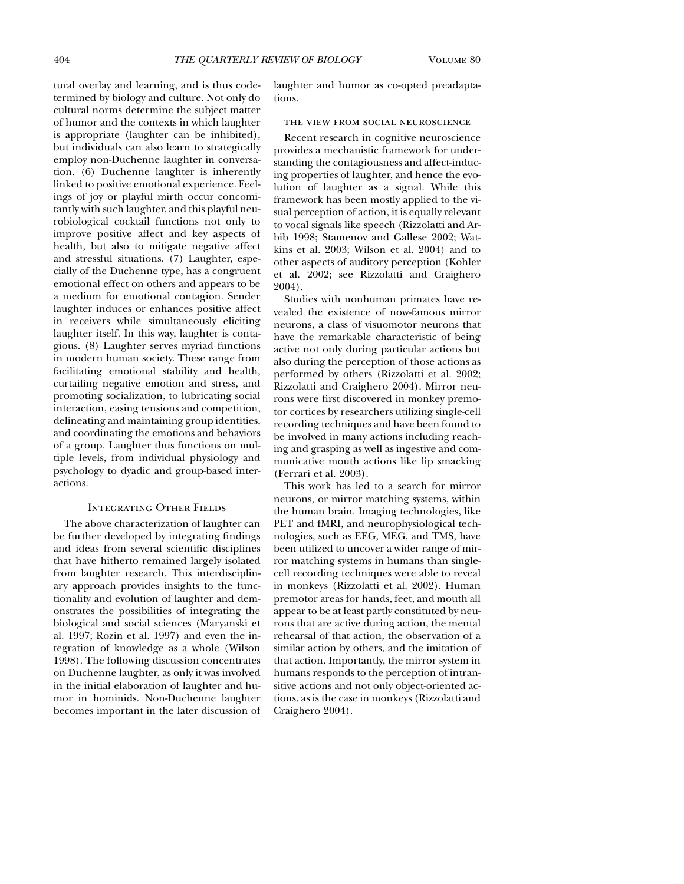tural overlay and learning, and is thus codetermined by biology and culture. Not only do cultural norms determine the subject matter of humor and the contexts in which laughter is appropriate (laughter can be inhibited), but individuals can also learn to strategically employ non-Duchenne laughter in conversation. (6) Duchenne laughter is inherently linked to positive emotional experience. Feelings of joy or playful mirth occur concomitantly with such laughter, and this playful neurobiological cocktail functions not only to improve positive affect and key aspects of health, but also to mitigate negative affect and stressful situations. (7) Laughter, especially of the Duchenne type, has a congruent emotional effect on others and appears to be a medium for emotional contagion. Sender laughter induces or enhances positive affect in receivers while simultaneously eliciting laughter itself. In this way, laughter is contagious. (8) Laughter serves myriad functions in modern human society. These range from facilitating emotional stability and health, curtailing negative emotion and stress, and promoting socialization, to lubricating social interaction, easing tensions and competition, delineating and maintaining group identities, and coordinating the emotions and behaviors of a group. Laughter thus functions on multiple levels, from individual physiology and psychology to dyadic and group-based interactions.

#### Integrating Other Fields

The above characterization of laughter can be further developed by integrating findings and ideas from several scientific disciplines that have hitherto remained largely isolated from laughter research. This interdisciplinary approach provides insights to the functionality and evolution of laughter and demonstrates the possibilities of integrating the biological and social sciences (Maryanski et al. 1997; Rozin et al. 1997) and even the integration of knowledge as a whole (Wilson 1998). The following discussion concentrates on Duchenne laughter, as only it was involved in the initial elaboration of laughter and humor in hominids. Non-Duchenne laughter becomes important in the later discussion of laughter and humor as co-opted preadaptations.

#### the view from social neuroscience

Recent research in cognitive neuroscience provides a mechanistic framework for understanding the contagiousness and affect-inducing properties of laughter, and hence the evolution of laughter as a signal. While this framework has been mostly applied to the visual perception of action, it is equally relevant to vocal signals like speech (Rizzolatti and Arbib 1998; Stamenov and Gallese 2002; Watkins et al. 2003; Wilson et al. 2004) and to other aspects of auditory perception (Kohler et al. 2002; see Rizzolatti and Craighero 2004).

Studies with nonhuman primates have revealed the existence of now-famous mirror neurons, a class of visuomotor neurons that have the remarkable characteristic of being active not only during particular actions but also during the perception of those actions as performed by others (Rizzolatti et al. 2002; Rizzolatti and Craighero 2004). Mirror neurons were first discovered in monkey premotor cortices by researchers utilizing single-cell recording techniques and have been found to be involved in many actions including reaching and grasping as well as ingestive and communicative mouth actions like lip smacking (Ferrari et al. 2003).

This work has led to a search for mirror neurons, or mirror matching systems, within the human brain. Imaging technologies, like PET and fMRI, and neurophysiological technologies, such as EEG, MEG, and TMS, have been utilized to uncover a wider range of mirror matching systems in humans than singlecell recording techniques were able to reveal in monkeys (Rizzolatti et al. 2002). Human premotor areas for hands, feet, and mouth all appear to be at least partly constituted by neurons that are active during action, the mental rehearsal of that action, the observation of a similar action by others, and the imitation of that action. Importantly, the mirror system in humans responds to the perception of intransitive actions and not only object-oriented actions, as is the case in monkeys (Rizzolatti and Craighero 2004).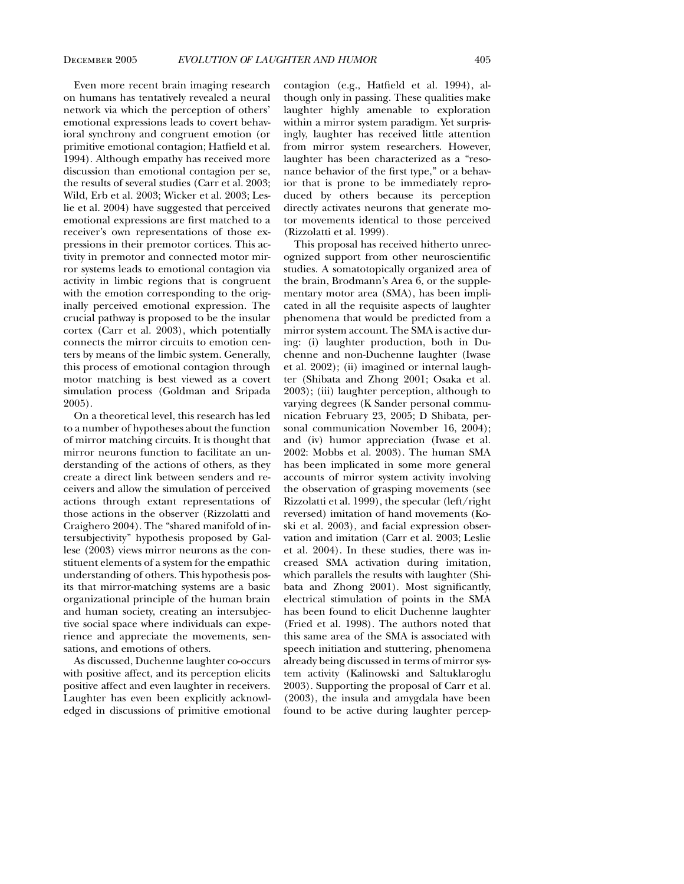Even more recent brain imaging research on humans has tentatively revealed a neural network via which the perception of others' emotional expressions leads to covert behavioral synchrony and congruent emotion (or primitive emotional contagion; Hatfield et al. 1994). Although empathy has received more discussion than emotional contagion per se, the results of several studies (Carr et al. 2003; Wild, Erb et al. 2003; Wicker et al. 2003; Leslie et al. 2004) have suggested that perceived emotional expressions are first matched to a receiver's own representations of those expressions in their premotor cortices. This activity in premotor and connected motor mirror systems leads to emotional contagion via activity in limbic regions that is congruent with the emotion corresponding to the originally perceived emotional expression. The crucial pathway is proposed to be the insular cortex (Carr et al. 2003), which potentially connects the mirror circuits to emotion centers by means of the limbic system. Generally, this process of emotional contagion through motor matching is best viewed as a covert simulation process (Goldman and Sripada 2005).

On a theoretical level, this research has led to a number of hypotheses about the function of mirror matching circuits. It is thought that mirror neurons function to facilitate an understanding of the actions of others, as they create a direct link between senders and receivers and allow the simulation of perceived actions through extant representations of those actions in the observer (Rizzolatti and Craighero 2004). The "shared manifold of intersubjectivity" hypothesis proposed by Gallese (2003) views mirror neurons as the constituent elements of a system for the empathic understanding of others. This hypothesis posits that mirror-matching systems are a basic organizational principle of the human brain and human society, creating an intersubjective social space where individuals can experience and appreciate the movements, sensations, and emotions of others.

As discussed, Duchenne laughter co-occurs with positive affect, and its perception elicits positive affect and even laughter in receivers. Laughter has even been explicitly acknowledged in discussions of primitive emotional contagion (e.g., Hatfield et al. 1994), although only in passing. These qualities make laughter highly amenable to exploration within a mirror system paradigm. Yet surprisingly, laughter has received little attention from mirror system researchers. However, laughter has been characterized as a "resonance behavior of the first type," or a behavior that is prone to be immediately reproduced by others because its perception directly activates neurons that generate motor movements identical to those perceived (Rizzolatti et al. 1999).

This proposal has received hitherto unrecognized support from other neuroscientific studies. A somatotopically organized area of the brain, Brodmann's Area 6, or the supplementary motor area (SMA), has been implicated in all the requisite aspects of laughter phenomena that would be predicted from a mirror system account. The SMA is active during: (i) laughter production, both in Duchenne and non-Duchenne laughter (Iwase et al. 2002); (ii) imagined or internal laughter (Shibata and Zhong 2001; Osaka et al. 2003); (iii) laughter perception, although to varying degrees (K Sander personal communication February 23, 2005; D Shibata, personal communication November 16, 2004); and (iv) humor appreciation (Iwase et al. 2002: Mobbs et al. 2003). The human SMA has been implicated in some more general accounts of mirror system activity involving the observation of grasping movements (see Rizzolatti et al. 1999), the specular (left/right reversed) imitation of hand movements (Koski et al. 2003), and facial expression observation and imitation (Carr et al. 2003; Leslie et al. 2004). In these studies, there was increased SMA activation during imitation, which parallels the results with laughter (Shibata and Zhong 2001). Most significantly, electrical stimulation of points in the SMA has been found to elicit Duchenne laughter (Fried et al. 1998). The authors noted that this same area of the SMA is associated with speech initiation and stuttering, phenomena already being discussed in terms of mirror system activity (Kalinowski and Saltuklaroglu 2003). Supporting the proposal of Carr et al. (2003), the insula and amygdala have been found to be active during laughter percep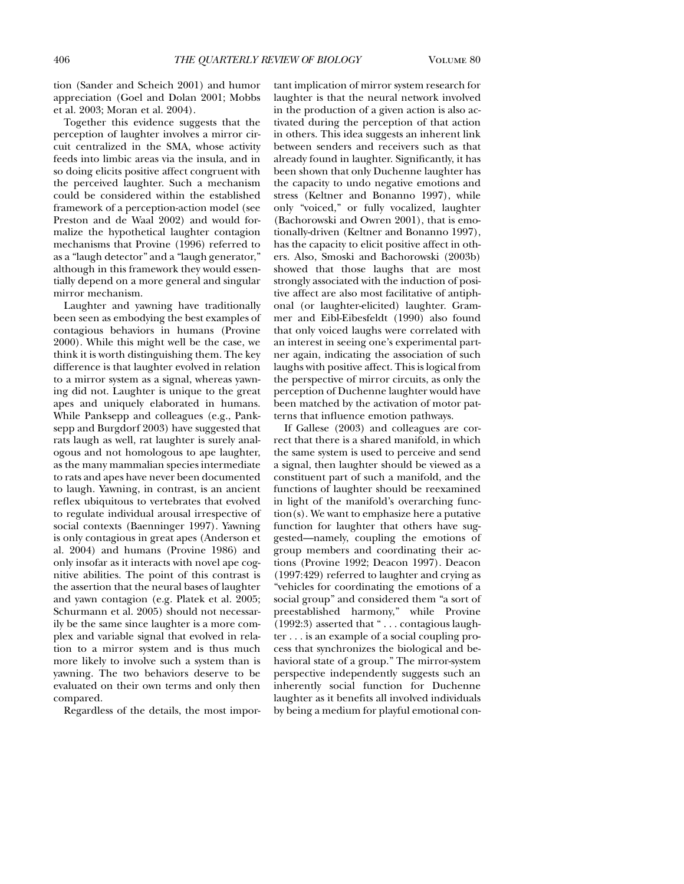tion (Sander and Scheich 2001) and humor appreciation (Goel and Dolan 2001; Mobbs et al. 2003; Moran et al. 2004).

Together this evidence suggests that the perception of laughter involves a mirror circuit centralized in the SMA, whose activity feeds into limbic areas via the insula, and in so doing elicits positive affect congruent with the perceived laughter. Such a mechanism could be considered within the established framework of a perception-action model (see Preston and de Waal 2002) and would formalize the hypothetical laughter contagion mechanisms that Provine (1996) referred to as a "laugh detector" and a "laugh generator," although in this framework they would essentially depend on a more general and singular mirror mechanism.

Laughter and yawning have traditionally been seen as embodying the best examples of contagious behaviors in humans (Provine 2000). While this might well be the case, we think it is worth distinguishing them. The key difference is that laughter evolved in relation to a mirror system as a signal, whereas yawning did not. Laughter is unique to the great apes and uniquely elaborated in humans. While Panksepp and colleagues (e.g., Panksepp and Burgdorf 2003) have suggested that rats laugh as well, rat laughter is surely analogous and not homologous to ape laughter, as the many mammalian species intermediate to rats and apes have never been documented to laugh. Yawning, in contrast, is an ancient reflex ubiquitous to vertebrates that evolved to regulate individual arousal irrespective of social contexts (Baenninger 1997). Yawning is only contagious in great apes (Anderson et al. 2004) and humans (Provine 1986) and only insofar as it interacts with novel ape cognitive abilities. The point of this contrast is the assertion that the neural bases of laughter and yawn contagion (e.g. Platek et al. 2005; Schurmann et al. 2005) should not necessarily be the same since laughter is a more complex and variable signal that evolved in relation to a mirror system and is thus much more likely to involve such a system than is yawning. The two behaviors deserve to be evaluated on their own terms and only then compared.

Regardless of the details, the most impor-

tant implication of mirror system research for laughter is that the neural network involved in the production of a given action is also activated during the perception of that action in others. This idea suggests an inherent link between senders and receivers such as that already found in laughter. Significantly, it has been shown that only Duchenne laughter has the capacity to undo negative emotions and stress (Keltner and Bonanno 1997), while only "voiced," or fully vocalized, laughter (Bachorowski and Owren 2001), that is emotionally-driven (Keltner and Bonanno 1997), has the capacity to elicit positive affect in others. Also, Smoski and Bachorowski (2003b) showed that those laughs that are most strongly associated with the induction of positive affect are also most facilitative of antiphonal (or laughter-elicited) laughter. Grammer and Eibl-Eibesfeldt (1990) also found that only voiced laughs were correlated with an interest in seeing one's experimental partner again, indicating the association of such laughs with positive affect. This is logical from the perspective of mirror circuits, as only the perception of Duchenne laughter would have been matched by the activation of motor patterns that influence emotion pathways.

If Gallese (2003) and colleagues are correct that there is a shared manifold, in which the same system is used to perceive and send a signal, then laughter should be viewed as a constituent part of such a manifold, and the functions of laughter should be reexamined in light of the manifold's overarching function(s). We want to emphasize here a putative function for laughter that others have suggested—namely, coupling the emotions of group members and coordinating their actions (Provine 1992; Deacon 1997). Deacon (1997:429) referred to laughter and crying as "vehicles for coordinating the emotions of a social group" and considered them "a sort of preestablished harmony," while Provine (1992:3) asserted that " . . . contagious laughter . . . is an example of a social coupling process that synchronizes the biological and behavioral state of a group." The mirror-system perspective independently suggests such an inherently social function for Duchenne laughter as it benefits all involved individuals by being a medium for playful emotional con-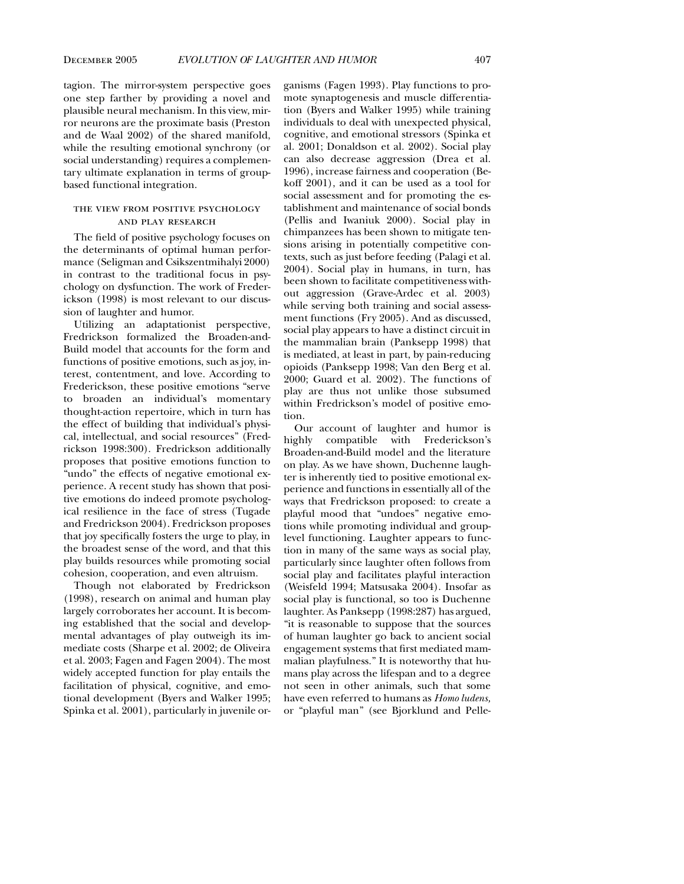tagion. The mirror-system perspective goes one step farther by providing a novel and plausible neural mechanism. In this view, mirror neurons are the proximate basis (Preston and de Waal 2002) of the shared manifold, while the resulting emotional synchrony (or social understanding) requires a complementary ultimate explanation in terms of groupbased functional integration.

#### the view from positive psychology and play research

The field of positive psychology focuses on the determinants of optimal human performance (Seligman and Csikszentmihalyi 2000) in contrast to the traditional focus in psychology on dysfunction. The work of Frederickson (1998) is most relevant to our discussion of laughter and humor.

Utilizing an adaptationist perspective, Fredrickson formalized the Broaden-and-Build model that accounts for the form and functions of positive emotions, such as joy, interest, contentment, and love. According to Frederickson, these positive emotions "serve to broaden an individual's momentary thought-action repertoire, which in turn has the effect of building that individual's physical, intellectual, and social resources" (Fredrickson 1998:300). Fredrickson additionally proposes that positive emotions function to "undo" the effects of negative emotional experience. A recent study has shown that positive emotions do indeed promote psychological resilience in the face of stress (Tugade and Fredrickson 2004). Fredrickson proposes that joy specifically fosters the urge to play, in the broadest sense of the word, and that this play builds resources while promoting social cohesion, cooperation, and even altruism.

Though not elaborated by Fredrickson (1998), research on animal and human play largely corroborates her account. It is becoming established that the social and developmental advantages of play outweigh its immediate costs (Sharpe et al. 2002; de Oliveira et al. 2003; Fagen and Fagen 2004). The most widely accepted function for play entails the facilitation of physical, cognitive, and emotional development (Byers and Walker 1995; Spinka et al. 2001), particularly in juvenile organisms (Fagen 1993). Play functions to promote synaptogenesis and muscle differentiation (Byers and Walker 1995) while training individuals to deal with unexpected physical, cognitive, and emotional stressors (Spinka et al. 2001; Donaldson et al. 2002). Social play can also decrease aggression (Drea et al. 1996), increase fairness and cooperation (Bekoff 2001), and it can be used as a tool for social assessment and for promoting the establishment and maintenance of social bonds (Pellis and Iwaniuk 2000). Social play in chimpanzees has been shown to mitigate tensions arising in potentially competitive contexts, such as just before feeding (Palagi et al. 2004). Social play in humans, in turn, has been shown to facilitate competitiveness without aggression (Grave-Ardec et al. 2003) while serving both training and social assessment functions (Fry 2005). And as discussed, social play appears to have a distinct circuit in the mammalian brain (Panksepp 1998) that is mediated, at least in part, by pain-reducing opioids (Panksepp 1998; Van den Berg et al. 2000; Guard et al. 2002). The functions of play are thus not unlike those subsumed within Fredrickson's model of positive emotion.

Our account of laughter and humor is highly compatible with Frederickson's Broaden-and-Build model and the literature on play. As we have shown, Duchenne laughter is inherently tied to positive emotional experience and functions in essentially all of the ways that Fredrickson proposed: to create a playful mood that "undoes" negative emotions while promoting individual and grouplevel functioning. Laughter appears to function in many of the same ways as social play, particularly since laughter often follows from social play and facilitates playful interaction (Weisfeld 1994; Matsusaka 2004). Insofar as social play is functional, so too is Duchenne laughter. As Panksepp (1998:287) has argued, "it is reasonable to suppose that the sources of human laughter go back to ancient social engagement systems that first mediated mammalian playfulness." It is noteworthy that humans play across the lifespan and to a degree not seen in other animals, such that some have even referred to humans as *Homo ludens,* or "playful man" (see Bjorklund and Pelle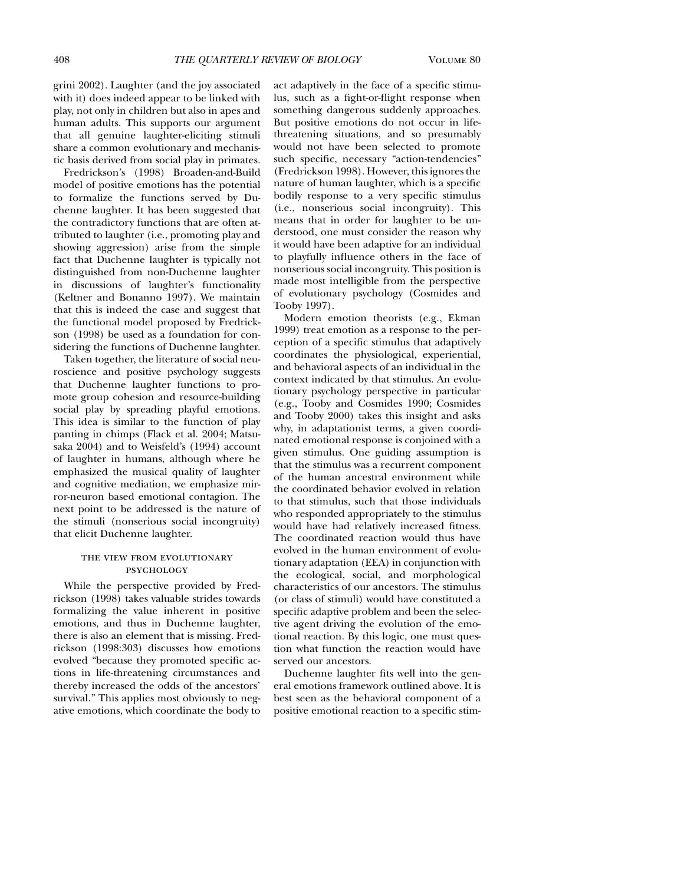grini 2002). Laughter (and the joy associated with it) does indeed appear to be linked with play, not only in children but also in apes and human adults. This supports our argument that all genuine laughter-eliciting stimuli share a common evolutionary and mechanistic basis derived from social play in primates.

Fredrickson's (1998) Broaden-and-Build model of positive emotions has the potential to formalize the functions served by Duchenne laughter. It has been suggested that the contradictory functions that are often attributed to laughter (i.e., promoting play and showing aggression) arise from the simple fact that Duchenne laughter is typically not distinguished from non-Duchenne laughter in discussions of laughter's functionality (Keltner and Bonanno 1997). We maintain that this is indeed the case and suggest that the functional model proposed by Fredrickson (1998) be used as a foundation for considering the functions of Duchenne laughter.

Taken together, the literature of social neuroscience and positive psychology suggests that Duchenne laughter functions to promote group cohesion and resource-building social play by spreading playful emotions. This idea is similar to the function of play panting in chimps (Flack et al. 2004; Matsusaka 2004) and to Weisfeld's (1994) account of laughter in humans, although where he emphasized the musical quality of laughter and cognitive mediation, we emphasize mirror-neuron based emotional contagion. The next point to be addressed is the nature of the stimuli (nonserious social incongruity) that elicit Duchenne laughter.

#### THE VIEW FROM EVOLUTIONARY **PSYCHOLOGY**

While the perspective provided by Fredrickson (1998) takes valuable strides towards formalizing the value inherent in positive emotions, and thus in Duchenne laughter, there is also an element that is missing. Fredrickson (1998:303) discusses how emotions evolved "because they promoted specific actions in life-threatening circumstances and thereby increased the odds of the ancestors' survival." This applies most obviously to negative emotions, which coordinate the body to

act adaptively in the face of a specific stimulus, such as a fight-or-flight response when something dangerous suddenly approaches. But positive emotions do not occur in lifethreatening situations, and so presumably would not have been selected to promote such specific, necessary "action-tendencies" (Fredrickson 1998). However, this ignores the nature of human laughter, which is a specific bodily response to a very specific stimulus (i.e., nonserious social incongruity). This means that in order for laughter to be understood, one must consider the reason why it would have been adaptive for an individual to playfully influence others in the face of nonserious social incongruity. This position is made most intelligible from the perspective of evolutionary psychology (Cosmides and Tooby 1997).

Modern emotion theorists (e.g., Ekman 1999) treat emotion as a response to the perception of a specific stimulus that adaptively coordinates the physiological, experiential, and behavioral aspects of an individual in the context indicated by that stimulus. An evolutionary psychology perspective in particular (e.g., Tooby and Cosmides 1990; Cosmides and Tooby 2000) takes this insight and asks why, in adaptationist terms, a given coordinated emotional response is conjoined with a given stimulus. One guiding assumption is that the stimulus was a recurrent component of the human ancestral environment while the coordinated behavior evolved in relation to that stimulus, such that those individuals who responded appropriately to the stimulus would have had relatively increased fitness. The coordinated reaction would thus have evolved in the human environment of evolutionary adaptation (EEA) in conjunction with the ecological, social, and morphological characteristics of our ancestors. The stimulus (or class of stimuli) would have constituted a specific adaptive problem and been the selective agent driving the evolution of the emotional reaction. By this logic, one must question what function the reaction would have served our ancestors.

Duchenne laughter fits well into the general emotions framework outlined above. It is best seen as the behavioral component of a positive emotional reaction to a specific stim-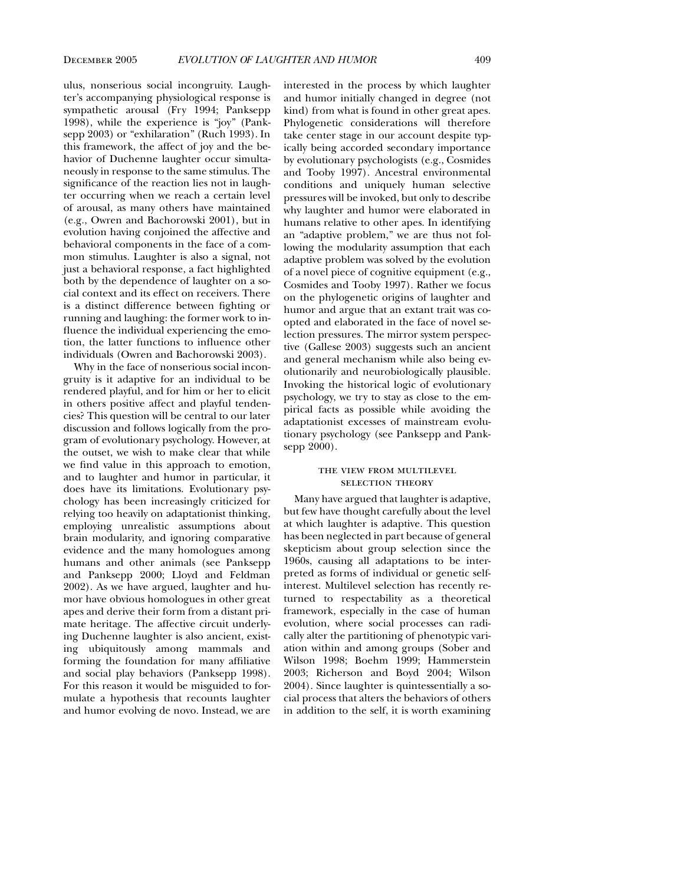ulus, nonserious social incongruity. Laughter's accompanying physiological response is sympathetic arousal (Fry 1994; Panksepp 1998), while the experience is "joy" (Panksepp 2003) or "exhilaration" (Ruch 1993). In this framework, the affect of joy and the behavior of Duchenne laughter occur simultaneously in response to the same stimulus. The significance of the reaction lies not in laughter occurring when we reach a certain level of arousal, as many others have maintained (e.g., Owren and Bachorowski 2001), but in evolution having conjoined the affective and behavioral components in the face of a common stimulus. Laughter is also a signal, not just a behavioral response, a fact highlighted both by the dependence of laughter on a social context and its effect on receivers. There is a distinct difference between fighting or running and laughing: the former work to influence the individual experiencing the emotion, the latter functions to influence other individuals (Owren and Bachorowski 2003).

Why in the face of nonserious social incongruity is it adaptive for an individual to be rendered playful, and for him or her to elicit in others positive affect and playful tendencies? This question will be central to our later discussion and follows logically from the program of evolutionary psychology. However, at the outset, we wish to make clear that while we find value in this approach to emotion, and to laughter and humor in particular, it does have its limitations. Evolutionary psychology has been increasingly criticized for relying too heavily on adaptationist thinking, employing unrealistic assumptions about brain modularity, and ignoring comparative evidence and the many homologues among humans and other animals (see Panksepp and Panksepp 2000; Lloyd and Feldman 2002). As we have argued, laughter and humor have obvious homologues in other great apes and derive their form from a distant primate heritage. The affective circuit underlying Duchenne laughter is also ancient, existing ubiquitously among mammals and forming the foundation for many affiliative and social play behaviors (Panksepp 1998). For this reason it would be misguided to formulate a hypothesis that recounts laughter and humor evolving de novo. Instead, we are interested in the process by which laughter and humor initially changed in degree (not kind) from what is found in other great apes. Phylogenetic considerations will therefore take center stage in our account despite typically being accorded secondary importance by evolutionary psychologists (e.g., Cosmides and Tooby 1997). Ancestral environmental conditions and uniquely human selective pressures will be invoked, but only to describe why laughter and humor were elaborated in humans relative to other apes. In identifying an "adaptive problem," we are thus not following the modularity assumption that each adaptive problem was solved by the evolution of a novel piece of cognitive equipment (e.g., Cosmides and Tooby 1997). Rather we focus on the phylogenetic origins of laughter and humor and argue that an extant trait was coopted and elaborated in the face of novel selection pressures. The mirror system perspective (Gallese 2003) suggests such an ancient and general mechanism while also being evolutionarily and neurobiologically plausible. Invoking the historical logic of evolutionary psychology, we try to stay as close to the empirical facts as possible while avoiding the adaptationist excesses of mainstream evolutionary psychology (see Panksepp and Panksepp 2000).

#### the view from multilevel selection theory

Many have argued that laughter is adaptive, but few have thought carefully about the level at which laughter is adaptive. This question has been neglected in part because of general skepticism about group selection since the 1960s, causing all adaptations to be interpreted as forms of individual or genetic selfinterest. Multilevel selection has recently returned to respectability as a theoretical framework, especially in the case of human evolution, where social processes can radically alter the partitioning of phenotypic variation within and among groups (Sober and Wilson 1998; Boehm 1999; Hammerstein 2003; Richerson and Boyd 2004; Wilson 2004). Since laughter is quintessentially a social process that alters the behaviors of others in addition to the self, it is worth examining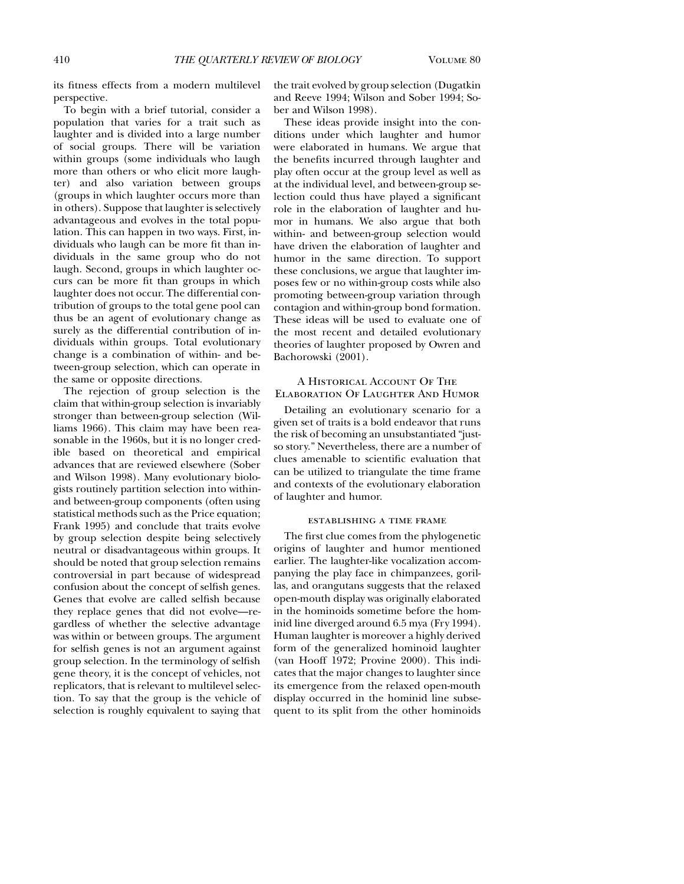its fitness effects from a modern multilevel perspective.

To begin with a brief tutorial, consider a population that varies for a trait such as laughter and is divided into a large number of social groups. There will be variation within groups (some individuals who laugh more than others or who elicit more laughter) and also variation between groups (groups in which laughter occurs more than in others). Suppose that laughter is selectively advantageous and evolves in the total population. This can happen in two ways. First, individuals who laugh can be more fit than individuals in the same group who do not laugh. Second, groups in which laughter occurs can be more fit than groups in which laughter does not occur. The differential contribution of groups to the total gene pool can thus be an agent of evolutionary change as surely as the differential contribution of individuals within groups. Total evolutionary change is a combination of within- and between-group selection, which can operate in the same or opposite directions.

The rejection of group selection is the claim that within-group selection is invariably stronger than between-group selection (Williams 1966). This claim may have been reasonable in the 1960s, but it is no longer credible based on theoretical and empirical advances that are reviewed elsewhere (Sober and Wilson 1998). Many evolutionary biologists routinely partition selection into withinand between-group components (often using statistical methods such as the Price equation; Frank 1995) and conclude that traits evolve by group selection despite being selectively neutral or disadvantageous within groups. It should be noted that group selection remains controversial in part because of widespread confusion about the concept of selfish genes. Genes that evolve are called selfish because they replace genes that did not evolve—regardless of whether the selective advantage was within or between groups. The argument for selfish genes is not an argument against group selection. In the terminology of selfish gene theory, it is the concept of vehicles, not replicators, that is relevant to multilevel selection. To say that the group is the vehicle of selection is roughly equivalent to saying that

the trait evolved by group selection (Dugatkin and Reeve 1994; Wilson and Sober 1994; Sober and Wilson 1998).

These ideas provide insight into the conditions under which laughter and humor were elaborated in humans. We argue that the benefits incurred through laughter and play often occur at the group level as well as at the individual level, and between-group selection could thus have played a significant role in the elaboration of laughter and humor in humans. We also argue that both within- and between-group selection would have driven the elaboration of laughter and humor in the same direction. To support these conclusions, we argue that laughter imposes few or no within-group costs while also promoting between-group variation through contagion and within-group bond formation. These ideas will be used to evaluate one of the most recent and detailed evolutionary theories of laughter proposed by Owren and Bachorowski (2001).

#### A Historical Account Of The Elaboration Of Laughter And Humor

Detailing an evolutionary scenario for a given set of traits is a bold endeavor that runs the risk of becoming an unsubstantiated "justso story." Nevertheless, there are a number of clues amenable to scientific evaluation that can be utilized to triangulate the time frame and contexts of the evolutionary elaboration of laughter and humor.

#### establishing a time frame

The first clue comes from the phylogenetic origins of laughter and humor mentioned earlier. The laughter-like vocalization accompanying the play face in chimpanzees, gorillas, and orangutans suggests that the relaxed open-mouth display was originally elaborated in the hominoids sometime before the hominid line diverged around 6.5 mya (Fry 1994). Human laughter is moreover a highly derived form of the generalized hominoid laughter (van Hooff 1972; Provine 2000). This indicates that the major changes to laughter since its emergence from the relaxed open-mouth display occurred in the hominid line subsequent to its split from the other hominoids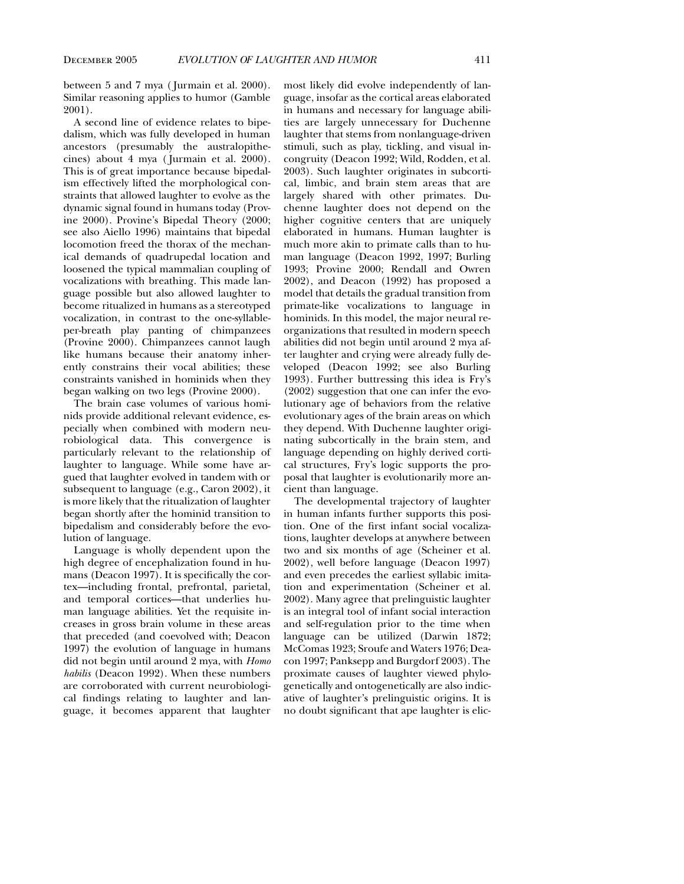between 5 and 7 mya ( Jurmain et al. 2000). Similar reasoning applies to humor (Gamble 2001).

A second line of evidence relates to bipedalism, which was fully developed in human ancestors (presumably the australopithecines) about 4 mya ( Jurmain et al. 2000). This is of great importance because bipedalism effectively lifted the morphological constraints that allowed laughter to evolve as the dynamic signal found in humans today (Provine 2000). Provine's Bipedal Theory (2000; see also Aiello 1996) maintains that bipedal locomotion freed the thorax of the mechanical demands of quadrupedal location and loosened the typical mammalian coupling of vocalizations with breathing. This made language possible but also allowed laughter to become ritualized in humans as a stereotyped vocalization, in contrast to the one-syllableper-breath play panting of chimpanzees (Provine 2000). Chimpanzees cannot laugh like humans because their anatomy inherently constrains their vocal abilities; these constraints vanished in hominids when they began walking on two legs (Provine 2000).

The brain case volumes of various hominids provide additional relevant evidence, especially when combined with modern neurobiological data. This convergence is particularly relevant to the relationship of laughter to language. While some have argued that laughter evolved in tandem with or subsequent to language (e.g., Caron 2002), it is more likely that the ritualization of laughter began shortly after the hominid transition to bipedalism and considerably before the evolution of language.

Language is wholly dependent upon the high degree of encephalization found in humans (Deacon 1997). It is specifically the cortex—including frontal, prefrontal, parietal, and temporal cortices—that underlies human language abilities. Yet the requisite increases in gross brain volume in these areas that preceded (and coevolved with; Deacon 1997) the evolution of language in humans did not begin until around 2 mya, with *Homo habilis* (Deacon 1992). When these numbers are corroborated with current neurobiological findings relating to laughter and language, it becomes apparent that laughter most likely did evolve independently of language, insofar as the cortical areas elaborated in humans and necessary for language abilities are largely unnecessary for Duchenne laughter that stems from nonlanguage-driven stimuli, such as play, tickling, and visual incongruity (Deacon 1992; Wild, Rodden, et al. 2003). Such laughter originates in subcortical, limbic, and brain stem areas that are largely shared with other primates. Duchenne laughter does not depend on the higher cognitive centers that are uniquely elaborated in humans. Human laughter is much more akin to primate calls than to human language (Deacon 1992, 1997; Burling 1993; Provine 2000; Rendall and Owren 2002), and Deacon (1992) has proposed a model that details the gradual transition from primate-like vocalizations to language in hominids. In this model, the major neural reorganizations that resulted in modern speech abilities did not begin until around 2 mya after laughter and crying were already fully developed (Deacon 1992; see also Burling 1993). Further buttressing this idea is Fry's (2002) suggestion that one can infer the evolutionary age of behaviors from the relative evolutionary ages of the brain areas on which they depend. With Duchenne laughter originating subcortically in the brain stem, and language depending on highly derived cortical structures, Fry's logic supports the proposal that laughter is evolutionarily more ancient than language.

The developmental trajectory of laughter in human infants further supports this position. One of the first infant social vocalizations, laughter develops at anywhere between two and six months of age (Scheiner et al. 2002), well before language (Deacon 1997) and even precedes the earliest syllabic imitation and experimentation (Scheiner et al. 2002). Many agree that prelinguistic laughter is an integral tool of infant social interaction and self-regulation prior to the time when language can be utilized (Darwin 1872; McComas 1923; Sroufe and Waters 1976; Deacon 1997; Panksepp and Burgdorf 2003). The proximate causes of laughter viewed phylogenetically and ontogenetically are also indicative of laughter's prelinguistic origins. It is no doubt significant that ape laughter is elic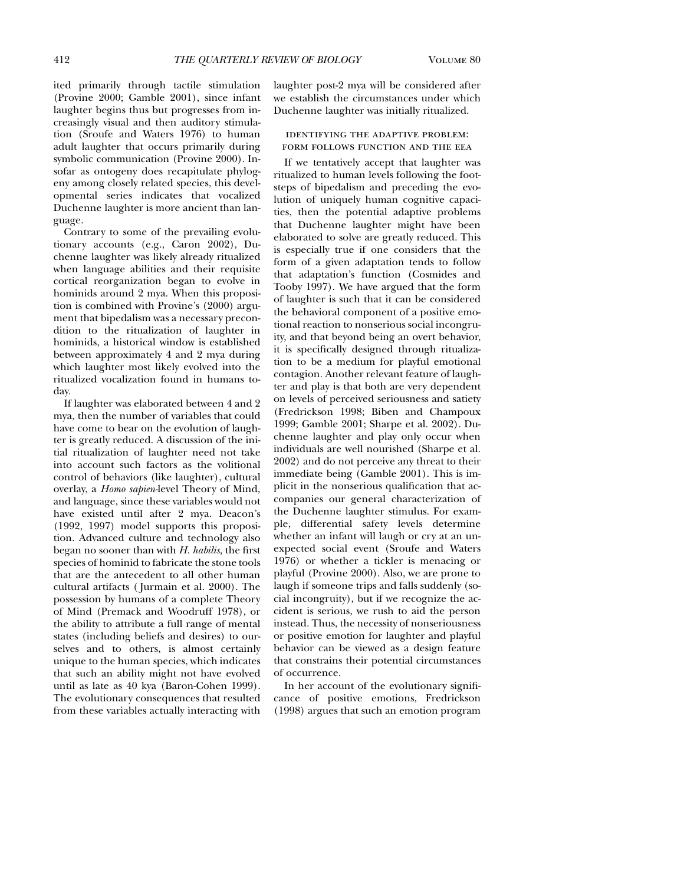ited primarily through tactile stimulation (Provine 2000; Gamble 2001), since infant laughter begins thus but progresses from increasingly visual and then auditory stimulation (Sroufe and Waters 1976) to human adult laughter that occurs primarily during symbolic communication (Provine 2000). Insofar as ontogeny does recapitulate phylogeny among closely related species, this developmental series indicates that vocalized Duchenne laughter is more ancient than language.

Contrary to some of the prevailing evolutionary accounts (e.g., Caron 2002), Duchenne laughter was likely already ritualized when language abilities and their requisite cortical reorganization began to evolve in hominids around 2 mya. When this proposition is combined with Provine's (2000) argument that bipedalism was a necessary precondition to the ritualization of laughter in hominids, a historical window is established between approximately 4 and 2 mya during which laughter most likely evolved into the ritualized vocalization found in humans today.

If laughter was elaborated between 4 and 2 mya, then the number of variables that could have come to bear on the evolution of laughter is greatly reduced. A discussion of the initial ritualization of laughter need not take into account such factors as the volitional control of behaviors (like laughter), cultural overlay, a *Homo sapien-*level Theory of Mind, and language, since these variables would not have existed until after 2 mya. Deacon's (1992, 1997) model supports this proposition. Advanced culture and technology also began no sooner than with *H. habilis,* the first species of hominid to fabricate the stone tools that are the antecedent to all other human cultural artifacts ( Jurmain et al. 2000). The possession by humans of a complete Theory of Mind (Premack and Woodruff 1978), or the ability to attribute a full range of mental states (including beliefs and desires) to ourselves and to others, is almost certainly unique to the human species, which indicates that such an ability might not have evolved until as late as 40 kya (Baron-Cohen 1999). The evolutionary consequences that resulted from these variables actually interacting with

laughter post-2 mya will be considered after we establish the circumstances under which Duchenne laughter was initially ritualized.

#### identifying the adaptive problem: FORM FOLLOWS FUNCTION AND THE EEA

If we tentatively accept that laughter was ritualized to human levels following the footsteps of bipedalism and preceding the evolution of uniquely human cognitive capacities, then the potential adaptive problems that Duchenne laughter might have been elaborated to solve are greatly reduced. This is especially true if one considers that the form of a given adaptation tends to follow that adaptation's function (Cosmides and Tooby 1997). We have argued that the form of laughter is such that it can be considered the behavioral component of a positive emotional reaction to nonserious social incongruity, and that beyond being an overt behavior, it is specifically designed through ritualization to be a medium for playful emotional contagion. Another relevant feature of laughter and play is that both are very dependent on levels of perceived seriousness and satiety (Fredrickson 1998; Biben and Champoux 1999; Gamble 2001; Sharpe et al. 2002). Duchenne laughter and play only occur when individuals are well nourished (Sharpe et al. 2002) and do not perceive any threat to their immediate being (Gamble 2001). This is implicit in the nonserious qualification that accompanies our general characterization of the Duchenne laughter stimulus. For example, differential safety levels determine whether an infant will laugh or cry at an unexpected social event (Sroufe and Waters 1976) or whether a tickler is menacing or playful (Provine 2000). Also, we are prone to laugh if someone trips and falls suddenly (social incongruity), but if we recognize the accident is serious, we rush to aid the person instead. Thus, the necessity of nonseriousness or positive emotion for laughter and playful behavior can be viewed as a design feature that constrains their potential circumstances of occurrence.

In her account of the evolutionary significance of positive emotions, Fredrickson (1998) argues that such an emotion program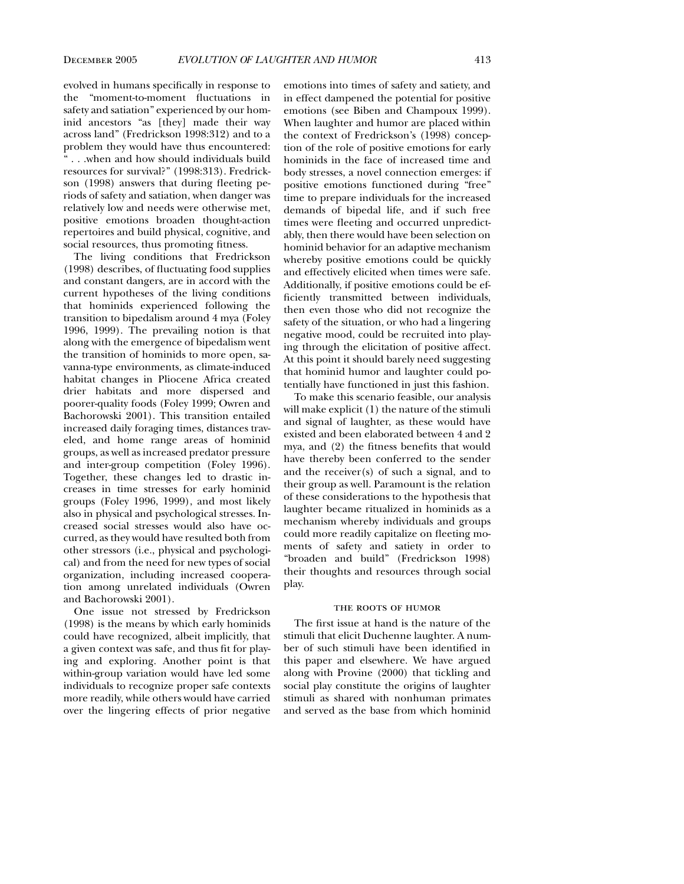evolved in humans specifically in response to the "moment-to-moment fluctuations in safety and satiation" experienced by our hominid ancestors "as [they] made their way across land" (Fredrickson 1998:312) and to a problem they would have thus encountered: " . . .when and how should individuals build resources for survival?" (1998:313). Fredrickson (1998) answers that during fleeting periods of safety and satiation, when danger was relatively low and needs were otherwise met, positive emotions broaden thought-action repertoires and build physical, cognitive, and social resources, thus promoting fitness.

The living conditions that Fredrickson (1998) describes, of fluctuating food supplies and constant dangers, are in accord with the current hypotheses of the living conditions that hominids experienced following the transition to bipedalism around 4 mya (Foley 1996, 1999). The prevailing notion is that along with the emergence of bipedalism went the transition of hominids to more open, savanna-type environments, as climate-induced habitat changes in Pliocene Africa created drier habitats and more dispersed and poorer-quality foods (Foley 1999; Owren and Bachorowski 2001). This transition entailed increased daily foraging times, distances traveled, and home range areas of hominid groups, as well as increased predator pressure and inter-group competition (Foley 1996). Together, these changes led to drastic increases in time stresses for early hominid groups (Foley 1996, 1999), and most likely also in physical and psychological stresses. Increased social stresses would also have occurred, as they would have resulted both from other stressors (i.e., physical and psychological) and from the need for new types of social organization, including increased cooperation among unrelated individuals (Owren and Bachorowski 2001).

One issue not stressed by Fredrickson (1998) is the means by which early hominids could have recognized, albeit implicitly, that a given context was safe, and thus fit for playing and exploring. Another point is that within-group variation would have led some individuals to recognize proper safe contexts more readily, while others would have carried over the lingering effects of prior negative emotions into times of safety and satiety, and in effect dampened the potential for positive emotions (see Biben and Champoux 1999). When laughter and humor are placed within the context of Fredrickson's (1998) conception of the role of positive emotions for early hominids in the face of increased time and body stresses, a novel connection emerges: if positive emotions functioned during "free" time to prepare individuals for the increased demands of bipedal life, and if such free times were fleeting and occurred unpredictably, then there would have been selection on hominid behavior for an adaptive mechanism whereby positive emotions could be quickly and effectively elicited when times were safe. Additionally, if positive emotions could be efficiently transmitted between individuals, then even those who did not recognize the safety of the situation, or who had a lingering negative mood, could be recruited into playing through the elicitation of positive affect. At this point it should barely need suggesting that hominid humor and laughter could potentially have functioned in just this fashion.

To make this scenario feasible, our analysis will make explicit (1) the nature of the stimuli and signal of laughter, as these would have existed and been elaborated between 4 and 2 mya, and (2) the fitness benefits that would have thereby been conferred to the sender and the receiver(s) of such a signal, and to their group as well. Paramount is the relation of these considerations to the hypothesis that laughter became ritualized in hominids as a mechanism whereby individuals and groups could more readily capitalize on fleeting moments of safety and satiety in order to "broaden and build" (Fredrickson 1998) their thoughts and resources through social play.

#### the roots of humor

The first issue at hand is the nature of the stimuli that elicit Duchenne laughter. A number of such stimuli have been identified in this paper and elsewhere. We have argued along with Provine (2000) that tickling and social play constitute the origins of laughter stimuli as shared with nonhuman primates and served as the base from which hominid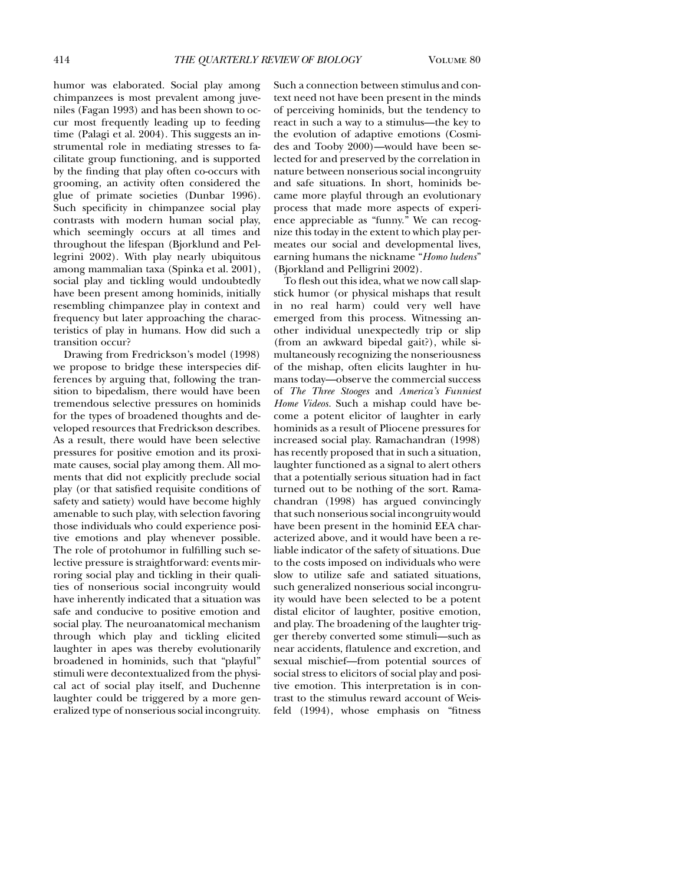humor was elaborated. Social play among chimpanzees is most prevalent among juveniles (Fagan 1993) and has been shown to occur most frequently leading up to feeding time (Palagi et al. 2004). This suggests an instrumental role in mediating stresses to facilitate group functioning, and is supported by the finding that play often co-occurs with grooming, an activity often considered the glue of primate societies (Dunbar 1996). Such specificity in chimpanzee social play contrasts with modern human social play, which seemingly occurs at all times and throughout the lifespan (Bjorklund and Pellegrini 2002). With play nearly ubiquitous among mammalian taxa (Spinka et al. 2001), social play and tickling would undoubtedly have been present among hominids, initially resembling chimpanzee play in context and frequency but later approaching the characteristics of play in humans. How did such a transition occur?

Drawing from Fredrickson's model (1998) we propose to bridge these interspecies differences by arguing that, following the transition to bipedalism, there would have been tremendous selective pressures on hominids for the types of broadened thoughts and developed resources that Fredrickson describes. As a result, there would have been selective pressures for positive emotion and its proximate causes, social play among them. All moments that did not explicitly preclude social play (or that satisfied requisite conditions of safety and satiety) would have become highly amenable to such play, with selection favoring those individuals who could experience positive emotions and play whenever possible. The role of protohumor in fulfilling such selective pressure is straightforward: events mirroring social play and tickling in their qualities of nonserious social incongruity would have inherently indicated that a situation was safe and conducive to positive emotion and social play. The neuroanatomical mechanism through which play and tickling elicited laughter in apes was thereby evolutionarily broadened in hominids, such that "playful" stimuli were decontextualized from the physical act of social play itself, and Duchenne laughter could be triggered by a more generalized type of nonserious social incongruity. Such a connection between stimulus and context need not have been present in the minds of perceiving hominids, but the tendency to react in such a way to a stimulus—the key to the evolution of adaptive emotions (Cosmides and Tooby 2000)—would have been selected for and preserved by the correlation in nature between nonserious social incongruity and safe situations. In short, hominids became more playful through an evolutionary process that made more aspects of experience appreciable as "funny." We can recognize this today in the extent to which play permeates our social and developmental lives, earning humans the nickname "*Homo ludens*" (Bjorkland and Pelligrini 2002).

To flesh out this idea, what we now call slapstick humor (or physical mishaps that result in no real harm) could very well have emerged from this process. Witnessing another individual unexpectedly trip or slip (from an awkward bipedal gait?), while simultaneously recognizing the nonseriousness of the mishap, often elicits laughter in humans today—observe the commercial success of *The Three Stooges* and *America's Funniest Home Videos.* Such a mishap could have become a potent elicitor of laughter in early hominids as a result of Pliocene pressures for increased social play. Ramachandran (1998) has recently proposed that in such a situation, laughter functioned as a signal to alert others that a potentially serious situation had in fact turned out to be nothing of the sort. Ramachandran (1998) has argued convincingly that such nonserious social incongruity would have been present in the hominid EEA characterized above, and it would have been a reliable indicator of the safety of situations. Due to the costs imposed on individuals who were slow to utilize safe and satiated situations, such generalized nonserious social incongruity would have been selected to be a potent distal elicitor of laughter, positive emotion, and play. The broadening of the laughter trigger thereby converted some stimuli—such as near accidents, flatulence and excretion, and sexual mischief—from potential sources of social stress to elicitors of social play and positive emotion. This interpretation is in contrast to the stimulus reward account of Weisfeld (1994), whose emphasis on "fitness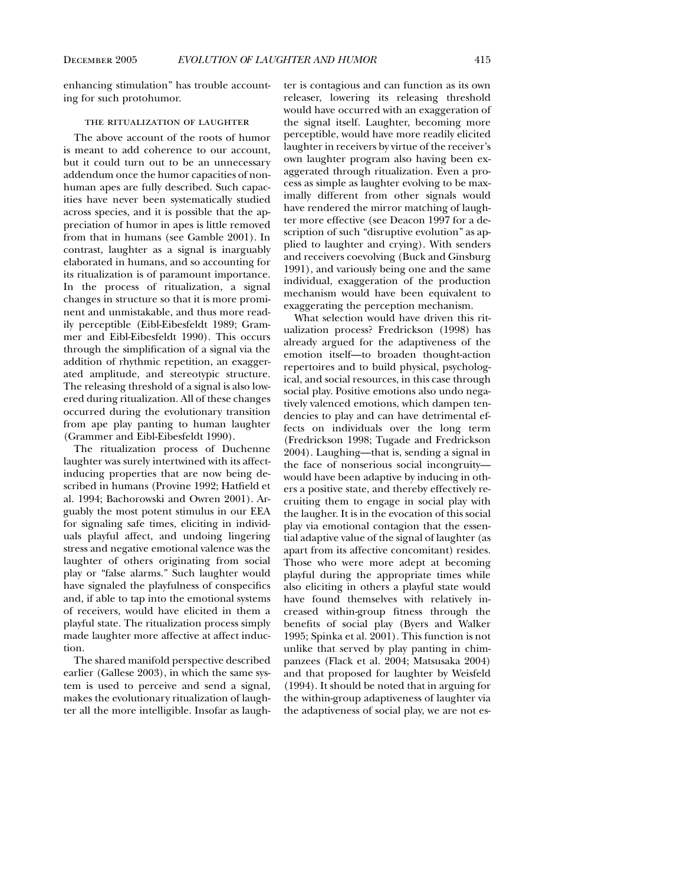enhancing stimulation" has trouble accounting for such protohumor.

#### the ritualization of laughter

The above account of the roots of humor is meant to add coherence to our account, but it could turn out to be an unnecessary addendum once the humor capacities of nonhuman apes are fully described. Such capacities have never been systematically studied across species, and it is possible that the appreciation of humor in apes is little removed from that in humans (see Gamble 2001). In contrast, laughter as a signal is inarguably elaborated in humans, and so accounting for its ritualization is of paramount importance. In the process of ritualization, a signal changes in structure so that it is more prominent and unmistakable, and thus more readily perceptible (Eibl-Eibesfeldt 1989; Grammer and Eibl-Eibesfeldt 1990). This occurs through the simplification of a signal via the addition of rhythmic repetition, an exaggerated amplitude, and stereotypic structure. The releasing threshold of a signal is also lowered during ritualization. All of these changes occurred during the evolutionary transition from ape play panting to human laughter (Grammer and Eibl-Eibesfeldt 1990).

The ritualization process of Duchenne laughter was surely intertwined with its affectinducing properties that are now being described in humans (Provine 1992; Hatfield et al. 1994; Bachorowski and Owren 2001). Arguably the most potent stimulus in our EEA for signaling safe times, eliciting in individuals playful affect, and undoing lingering stress and negative emotional valence was the laughter of others originating from social play or "false alarms." Such laughter would have signaled the playfulness of conspecifics and, if able to tap into the emotional systems of receivers, would have elicited in them a playful state. The ritualization process simply made laughter more affective at affect induction.

The shared manifold perspective described earlier (Gallese 2003), in which the same system is used to perceive and send a signal, makes the evolutionary ritualization of laughter all the more intelligible. Insofar as laughter is contagious and can function as its own releaser, lowering its releasing threshold would have occurred with an exaggeration of the signal itself. Laughter, becoming more perceptible, would have more readily elicited laughter in receivers by virtue of the receiver's own laughter program also having been exaggerated through ritualization. Even a process as simple as laughter evolving to be maximally different from other signals would have rendered the mirror matching of laughter more effective (see Deacon 1997 for a description of such "disruptive evolution" as applied to laughter and crying). With senders and receivers coevolving (Buck and Ginsburg 1991), and variously being one and the same individual, exaggeration of the production mechanism would have been equivalent to exaggerating the perception mechanism.

What selection would have driven this ritualization process? Fredrickson (1998) has already argued for the adaptiveness of the emotion itself—to broaden thought-action repertoires and to build physical, psychological, and social resources, in this case through social play. Positive emotions also undo negatively valenced emotions, which dampen tendencies to play and can have detrimental effects on individuals over the long term (Fredrickson 1998; Tugade and Fredrickson 2004). Laughing—that is, sending a signal in the face of nonserious social incongruity would have been adaptive by inducing in others a positive state, and thereby effectively recruiting them to engage in social play with the laugher. It is in the evocation of this social play via emotional contagion that the essential adaptive value of the signal of laughter (as apart from its affective concomitant) resides. Those who were more adept at becoming playful during the appropriate times while also eliciting in others a playful state would have found themselves with relatively increased within-group fitness through the benefits of social play (Byers and Walker 1995; Spinka et al. 2001). This function is not unlike that served by play panting in chimpanzees (Flack et al. 2004; Matsusaka 2004) and that proposed for laughter by Weisfeld (1994). It should be noted that in arguing for the within-group adaptiveness of laughter via the adaptiveness of social play, we are not es-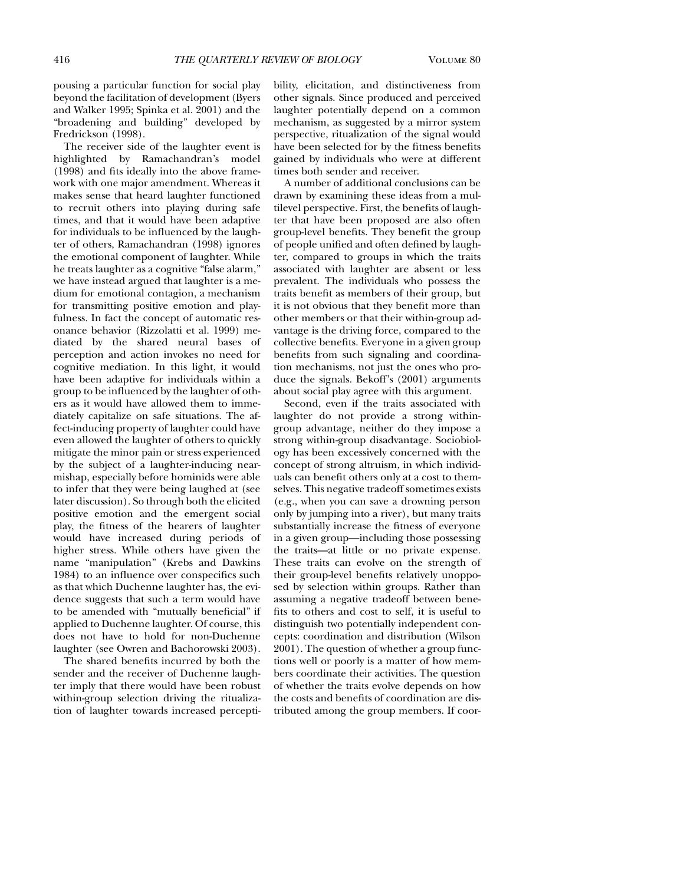pousing a particular function for social play beyond the facilitation of development (Byers and Walker 1995; Spinka et al. 2001) and the "broadening and building" developed by Fredrickson (1998).

The receiver side of the laughter event is highlighted by Ramachandran's model (1998) and fits ideally into the above framework with one major amendment. Whereas it makes sense that heard laughter functioned to recruit others into playing during safe times, and that it would have been adaptive for individuals to be influenced by the laughter of others, Ramachandran (1998) ignores the emotional component of laughter. While he treats laughter as a cognitive "false alarm," we have instead argued that laughter is a medium for emotional contagion, a mechanism for transmitting positive emotion and playfulness. In fact the concept of automatic resonance behavior (Rizzolatti et al. 1999) mediated by the shared neural bases of perception and action invokes no need for cognitive mediation. In this light, it would have been adaptive for individuals within a group to be influenced by the laughter of others as it would have allowed them to immediately capitalize on safe situations. The affect-inducing property of laughter could have even allowed the laughter of others to quickly mitigate the minor pain or stress experienced by the subject of a laughter-inducing nearmishap, especially before hominids were able to infer that they were being laughed at (see later discussion). So through both the elicited positive emotion and the emergent social play, the fitness of the hearers of laughter would have increased during periods of higher stress. While others have given the name "manipulation" (Krebs and Dawkins 1984) to an influence over conspecifics such as that which Duchenne laughter has, the evidence suggests that such a term would have to be amended with "mutually beneficial" if applied to Duchenne laughter. Of course, this does not have to hold for non-Duchenne laughter (see Owren and Bachorowski 2003).

The shared benefits incurred by both the sender and the receiver of Duchenne laughter imply that there would have been robust within-group selection driving the ritualization of laughter towards increased perceptibility, elicitation, and distinctiveness from other signals. Since produced and perceived laughter potentially depend on a common mechanism, as suggested by a mirror system perspective, ritualization of the signal would have been selected for by the fitness benefits gained by individuals who were at different times both sender and receiver.

A number of additional conclusions can be drawn by examining these ideas from a multilevel perspective. First, the benefits of laughter that have been proposed are also often group-level benefits. They benefit the group of people unified and often defined by laughter, compared to groups in which the traits associated with laughter are absent or less prevalent. The individuals who possess the traits benefit as members of their group, but it is not obvious that they benefit more than other members or that their within-group advantage is the driving force, compared to the collective benefits. Everyone in a given group benefits from such signaling and coordination mechanisms, not just the ones who produce the signals. Bekoff's (2001) arguments about social play agree with this argument.

Second, even if the traits associated with laughter do not provide a strong withingroup advantage, neither do they impose a strong within-group disadvantage. Sociobiology has been excessively concerned with the concept of strong altruism, in which individuals can benefit others only at a cost to themselves. This negative tradeoff sometimes exists (e.g., when you can save a drowning person only by jumping into a river), but many traits substantially increase the fitness of everyone in a given group—including those possessing the traits—at little or no private expense. These traits can evolve on the strength of their group-level benefits relatively unopposed by selection within groups. Rather than assuming a negative tradeoff between benefits to others and cost to self, it is useful to distinguish two potentially independent concepts: coordination and distribution (Wilson 2001). The question of whether a group functions well or poorly is a matter of how members coordinate their activities. The question of whether the traits evolve depends on how the costs and benefits of coordination are distributed among the group members. If coor-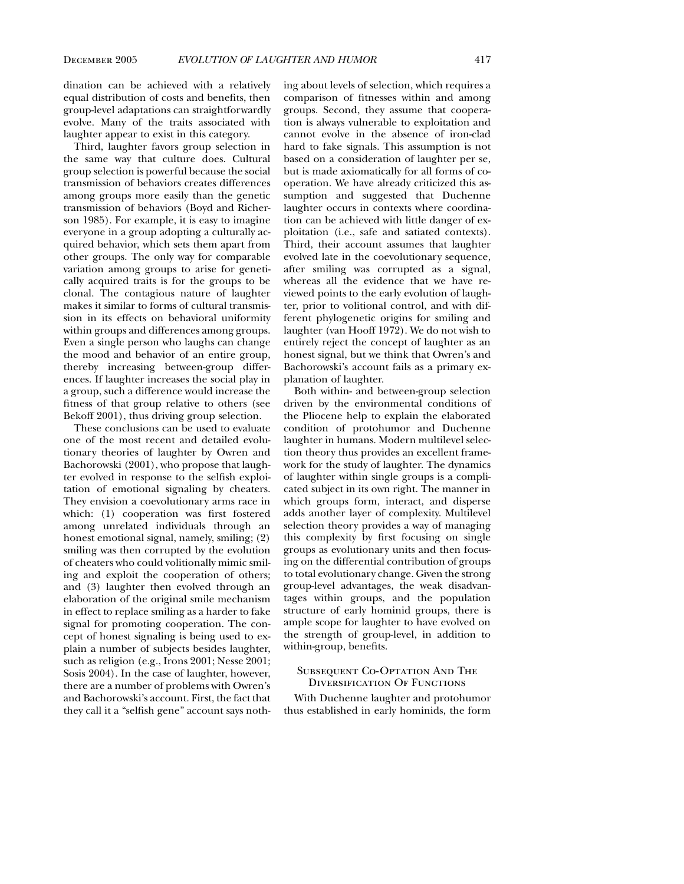dination can be achieved with a relatively equal distribution of costs and benefits, then group-level adaptations can straightforwardly evolve. Many of the traits associated with laughter appear to exist in this category.

Third, laughter favors group selection in the same way that culture does. Cultural group selection is powerful because the social transmission of behaviors creates differences among groups more easily than the genetic transmission of behaviors (Boyd and Richerson 1985). For example, it is easy to imagine everyone in a group adopting a culturally acquired behavior, which sets them apart from other groups. The only way for comparable variation among groups to arise for genetically acquired traits is for the groups to be clonal. The contagious nature of laughter makes it similar to forms of cultural transmission in its effects on behavioral uniformity within groups and differences among groups. Even a single person who laughs can change the mood and behavior of an entire group, thereby increasing between-group differences. If laughter increases the social play in a group, such a difference would increase the fitness of that group relative to others (see Bekoff 2001), thus driving group selection.

These conclusions can be used to evaluate one of the most recent and detailed evolutionary theories of laughter by Owren and Bachorowski (2001), who propose that laughter evolved in response to the selfish exploitation of emotional signaling by cheaters. They envision a coevolutionary arms race in which: (1) cooperation was first fostered among unrelated individuals through an honest emotional signal, namely, smiling; (2) smiling was then corrupted by the evolution of cheaters who could volitionally mimic smiling and exploit the cooperation of others; and (3) laughter then evolved through an elaboration of the original smile mechanism in effect to replace smiling as a harder to fake signal for promoting cooperation. The concept of honest signaling is being used to explain a number of subjects besides laughter, such as religion (e.g., Irons 2001; Nesse 2001; Sosis 2004). In the case of laughter, however, there are a number of problems with Owren's and Bachorowski's account. First, the fact that they call it a "selfish gene" account says nothing about levels of selection, which requires a comparison of fitnesses within and among groups. Second, they assume that cooperation is always vulnerable to exploitation and cannot evolve in the absence of iron-clad hard to fake signals. This assumption is not based on a consideration of laughter per se, but is made axiomatically for all forms of cooperation. We have already criticized this assumption and suggested that Duchenne laughter occurs in contexts where coordination can be achieved with little danger of exploitation (i.e., safe and satiated contexts). Third, their account assumes that laughter evolved late in the coevolutionary sequence, after smiling was corrupted as a signal, whereas all the evidence that we have reviewed points to the early evolution of laughter, prior to volitional control, and with different phylogenetic origins for smiling and laughter (van Hooff 1972). We do not wish to entirely reject the concept of laughter as an honest signal, but we think that Owren's and Bachorowski's account fails as a primary explanation of laughter.

Both within- and between-group selection driven by the environmental conditions of the Pliocene help to explain the elaborated condition of protohumor and Duchenne laughter in humans. Modern multilevel selection theory thus provides an excellent framework for the study of laughter. The dynamics of laughter within single groups is a complicated subject in its own right. The manner in which groups form, interact, and disperse adds another layer of complexity. Multilevel selection theory provides a way of managing this complexity by first focusing on single groups as evolutionary units and then focusing on the differential contribution of groups to total evolutionary change. Given the strong group-level advantages, the weak disadvantages within groups, and the population structure of early hominid groups, there is ample scope for laughter to have evolved on the strength of group-level, in addition to within-group, benefits.

#### Subsequent Co-Optation And The Diversification Of Functions

With Duchenne laughter and protohumor thus established in early hominids, the form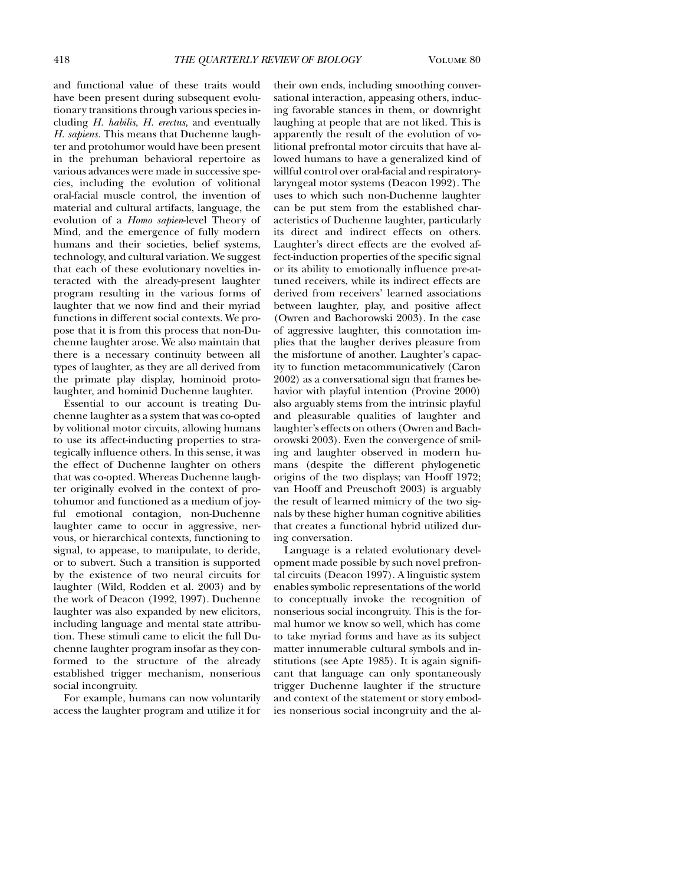and functional value of these traits would have been present during subsequent evolutionary transitions through various species including *H. habilis, H. erectus,* and eventually *H. sapiens.* This means that Duchenne laughter and protohumor would have been present in the prehuman behavioral repertoire as various advances were made in successive species, including the evolution of volitional oral-facial muscle control, the invention of material and cultural artifacts, language, the evolution of a *Homo sapien*-level Theory of Mind, and the emergence of fully modern humans and their societies, belief systems, technology, and cultural variation. We suggest that each of these evolutionary novelties interacted with the already-present laughter program resulting in the various forms of laughter that we now find and their myriad functions in different social contexts. We propose that it is from this process that non-Duchenne laughter arose. We also maintain that there is a necessary continuity between all types of laughter, as they are all derived from the primate play display, hominoid protolaughter, and hominid Duchenne laughter.

Essential to our account is treating Duchenne laughter as a system that was co-opted by volitional motor circuits, allowing humans to use its affect-inducting properties to strategically influence others. In this sense, it was the effect of Duchenne laughter on others that was co-opted. Whereas Duchenne laughter originally evolved in the context of protohumor and functioned as a medium of joyful emotional contagion, non-Duchenne laughter came to occur in aggressive, nervous, or hierarchical contexts, functioning to signal, to appease, to manipulate, to deride, or to subvert. Such a transition is supported by the existence of two neural circuits for laughter (Wild, Rodden et al. 2003) and by the work of Deacon (1992, 1997). Duchenne laughter was also expanded by new elicitors, including language and mental state attribution. These stimuli came to elicit the full Duchenne laughter program insofar as they conformed to the structure of the already established trigger mechanism, nonserious social incongruity.

For example, humans can now voluntarily access the laughter program and utilize it for their own ends, including smoothing conversational interaction, appeasing others, inducing favorable stances in them, or downright laughing at people that are not liked. This is apparently the result of the evolution of volitional prefrontal motor circuits that have allowed humans to have a generalized kind of willful control over oral-facial and respiratorylaryngeal motor systems (Deacon 1992). The uses to which such non-Duchenne laughter can be put stem from the established characteristics of Duchenne laughter, particularly its direct and indirect effects on others. Laughter's direct effects are the evolved affect-induction properties of the specific signal or its ability to emotionally influence pre-attuned receivers, while its indirect effects are derived from receivers' learned associations between laughter, play, and positive affect (Owren and Bachorowski 2003). In the case of aggressive laughter, this connotation implies that the laugher derives pleasure from the misfortune of another. Laughter's capacity to function metacommunicatively (Caron 2002) as a conversational sign that frames behavior with playful intention (Provine 2000) also arguably stems from the intrinsic playful and pleasurable qualities of laughter and laughter's effects on others (Owren and Bachorowski 2003). Even the convergence of smiling and laughter observed in modern humans (despite the different phylogenetic origins of the two displays; van Hooff 1972; van Hooff and Preuschoft 2003) is arguably the result of learned mimicry of the two signals by these higher human cognitive abilities that creates a functional hybrid utilized during conversation.

Language is a related evolutionary development made possible by such novel prefrontal circuits (Deacon 1997). A linguistic system enables symbolic representations of the world to conceptually invoke the recognition of nonserious social incongruity. This is the formal humor we know so well, which has come to take myriad forms and have as its subject matter innumerable cultural symbols and institutions (see Apte 1985). It is again significant that language can only spontaneously trigger Duchenne laughter if the structure and context of the statement or story embodies nonserious social incongruity and the al-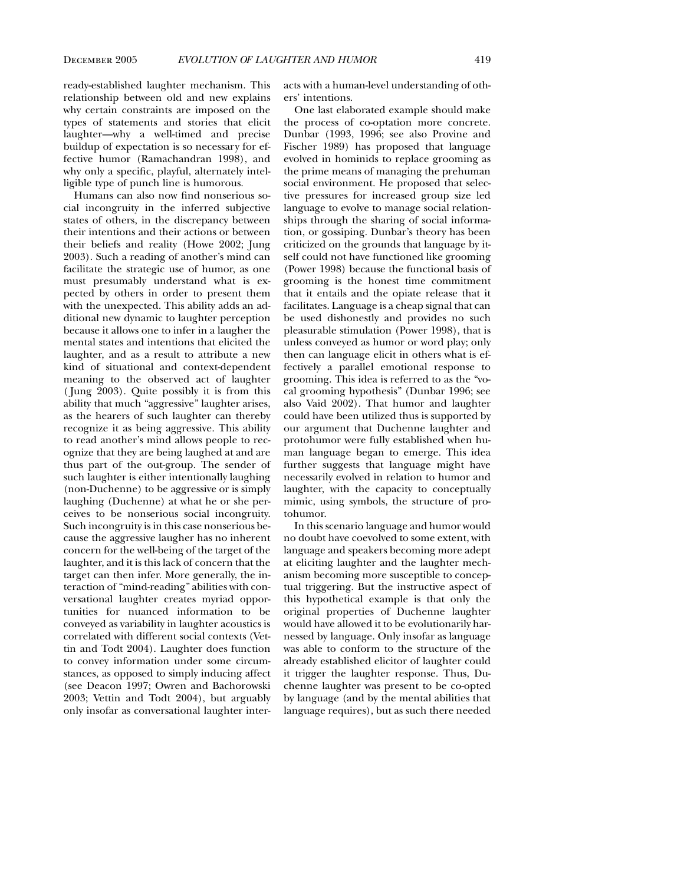ready-established laughter mechanism. This relationship between old and new explains why certain constraints are imposed on the types of statements and stories that elicit laughter—why a well-timed and precise buildup of expectation is so necessary for effective humor (Ramachandran 1998), and why only a specific, playful, alternately intelligible type of punch line is humorous.

Humans can also now find nonserious social incongruity in the inferred subjective states of others, in the discrepancy between their intentions and their actions or between their beliefs and reality (Howe 2002; Jung 2003). Such a reading of another's mind can facilitate the strategic use of humor, as one must presumably understand what is expected by others in order to present them with the unexpected. This ability adds an additional new dynamic to laughter perception because it allows one to infer in a laugher the mental states and intentions that elicited the laughter, and as a result to attribute a new kind of situational and context-dependent meaning to the observed act of laughter ( Jung 2003). Quite possibly it is from this ability that much "aggressive" laughter arises, as the hearers of such laughter can thereby recognize it as being aggressive. This ability to read another's mind allows people to recognize that they are being laughed at and are thus part of the out-group. The sender of such laughter is either intentionally laughing (non-Duchenne) to be aggressive or is simply laughing (Duchenne) at what he or she perceives to be nonserious social incongruity. Such incongruity is in this case nonserious because the aggressive laugher has no inherent concern for the well-being of the target of the laughter, and it is this lack of concern that the target can then infer. More generally, the interaction of "mind-reading" abilities with conversational laughter creates myriad opportunities for nuanced information to be conveyed as variability in laughter acoustics is correlated with different social contexts (Vettin and Todt 2004). Laughter does function to convey information under some circumstances, as opposed to simply inducing affect (see Deacon 1997; Owren and Bachorowski 2003; Vettin and Todt 2004), but arguably only insofar as conversational laughter interacts with a human-level understanding of others' intentions.

One last elaborated example should make the process of co-optation more concrete. Dunbar (1993, 1996; see also Provine and Fischer 1989) has proposed that language evolved in hominids to replace grooming as the prime means of managing the prehuman social environment. He proposed that selective pressures for increased group size led language to evolve to manage social relationships through the sharing of social information, or gossiping. Dunbar's theory has been criticized on the grounds that language by itself could not have functioned like grooming (Power 1998) because the functional basis of grooming is the honest time commitment that it entails and the opiate release that it facilitates. Language is a cheap signal that can be used dishonestly and provides no such pleasurable stimulation (Power 1998), that is unless conveyed as humor or word play; only then can language elicit in others what is effectively a parallel emotional response to grooming. This idea is referred to as the "vocal grooming hypothesis" (Dunbar 1996; see also Vaid 2002). That humor and laughter could have been utilized thus is supported by our argument that Duchenne laughter and protohumor were fully established when human language began to emerge. This idea further suggests that language might have necessarily evolved in relation to humor and laughter, with the capacity to conceptually mimic, using symbols, the structure of protohumor.

In this scenario language and humor would no doubt have coevolved to some extent, with language and speakers becoming more adept at eliciting laughter and the laughter mechanism becoming more susceptible to conceptual triggering. But the instructive aspect of this hypothetical example is that only the original properties of Duchenne laughter would have allowed it to be evolutionarily harnessed by language. Only insofar as language was able to conform to the structure of the already established elicitor of laughter could it trigger the laughter response. Thus, Duchenne laughter was present to be co-opted by language (and by the mental abilities that language requires), but as such there needed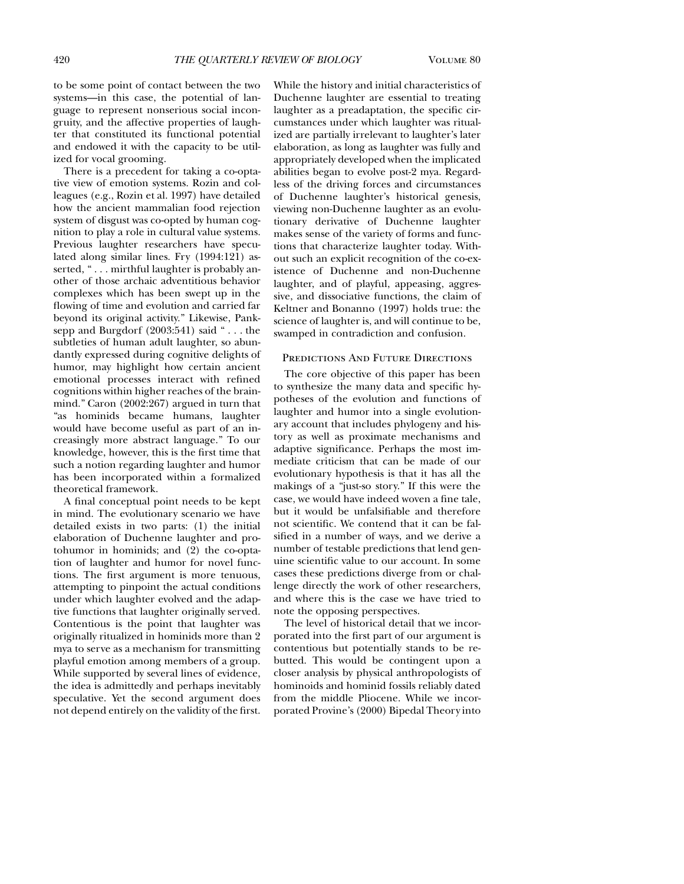to be some point of contact between the two systems—in this case, the potential of language to represent nonserious social incongruity, and the affective properties of laughter that constituted its functional potential and endowed it with the capacity to be utilized for vocal grooming.

There is a precedent for taking a co-optative view of emotion systems. Rozin and colleagues (e.g., Rozin et al. 1997) have detailed how the ancient mammalian food rejection system of disgust was co-opted by human cognition to play a role in cultural value systems. Previous laughter researchers have speculated along similar lines. Fry (1994:121) asserted, " . . . mirthful laughter is probably another of those archaic adventitious behavior complexes which has been swept up in the flowing of time and evolution and carried far beyond its original activity." Likewise, Panksepp and Burgdorf (2003:541) said " . . . the subtleties of human adult laughter, so abundantly expressed during cognitive delights of humor, may highlight how certain ancient emotional processes interact with refined cognitions within higher reaches of the brainmind." Caron (2002:267) argued in turn that "as hominids became humans, laughter would have become useful as part of an increasingly more abstract language." To our knowledge, however, this is the first time that such a notion regarding laughter and humor has been incorporated within a formalized theoretical framework.

A final conceptual point needs to be kept in mind. The evolutionary scenario we have detailed exists in two parts: (1) the initial elaboration of Duchenne laughter and protohumor in hominids; and (2) the co-optation of laughter and humor for novel functions. The first argument is more tenuous, attempting to pinpoint the actual conditions under which laughter evolved and the adaptive functions that laughter originally served. Contentious is the point that laughter was originally ritualized in hominids more than 2 mya to serve as a mechanism for transmitting playful emotion among members of a group. While supported by several lines of evidence, the idea is admittedly and perhaps inevitably speculative. Yet the second argument does not depend entirely on the validity of the first.

While the history and initial characteristics of Duchenne laughter are essential to treating laughter as a preadaptation, the specific circumstances under which laughter was ritualized are partially irrelevant to laughter's later elaboration, as long as laughter was fully and appropriately developed when the implicated abilities began to evolve post-2 mya. Regardless of the driving forces and circumstances of Duchenne laughter's historical genesis, viewing non-Duchenne laughter as an evolutionary derivative of Duchenne laughter makes sense of the variety of forms and functions that characterize laughter today. Without such an explicit recognition of the co-existence of Duchenne and non-Duchenne laughter, and of playful, appeasing, aggressive, and dissociative functions, the claim of Keltner and Bonanno (1997) holds true: the science of laughter is, and will continue to be, swamped in contradiction and confusion.

#### PREDICTIONS AND FUTURE DIRECTIONS

The core objective of this paper has been to synthesize the many data and specific hypotheses of the evolution and functions of laughter and humor into a single evolutionary account that includes phylogeny and history as well as proximate mechanisms and adaptive significance. Perhaps the most immediate criticism that can be made of our evolutionary hypothesis is that it has all the makings of a "just-so story." If this were the case, we would have indeed woven a fine tale, but it would be unfalsifiable and therefore not scientific. We contend that it can be falsified in a number of ways, and we derive a number of testable predictions that lend genuine scientific value to our account. In some cases these predictions diverge from or challenge directly the work of other researchers, and where this is the case we have tried to note the opposing perspectives.

The level of historical detail that we incorporated into the first part of our argument is contentious but potentially stands to be rebutted. This would be contingent upon a closer analysis by physical anthropologists of hominoids and hominid fossils reliably dated from the middle Pliocene. While we incorporated Provine's (2000) Bipedal Theory into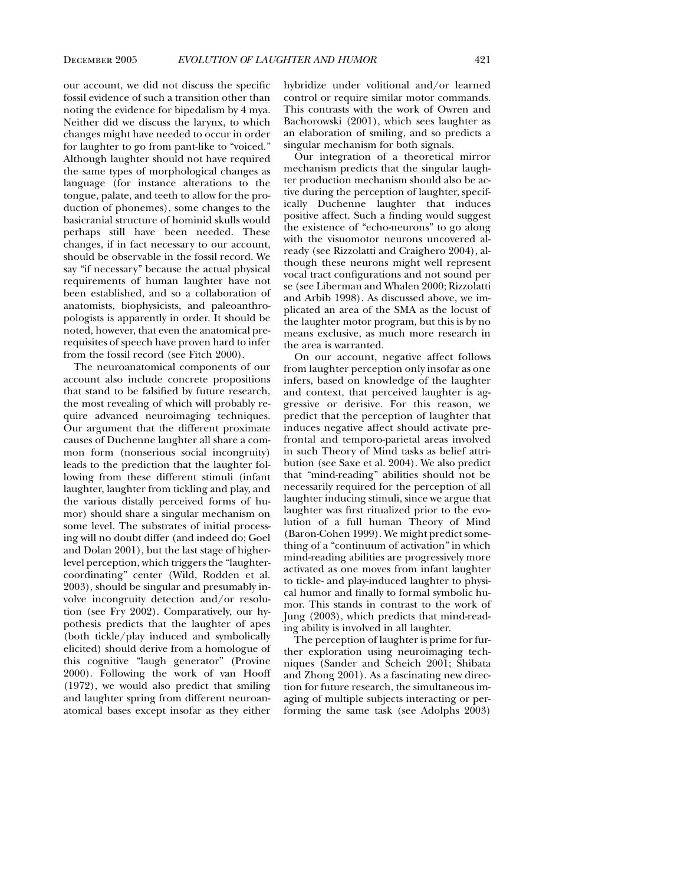our account, we did not discuss the specific fossil evidence of such a transition other than noting the evidence for bipedalism by 4 mya. Neither did we discuss the larynx, to which changes might have needed to occur in order for laughter to go from pant-like to "voiced." Although laughter should not have required the same types of morphological changes as language (for instance alterations to the tongue, palate, and teeth to allow for the production of phonemes), some changes to the basicranial structure of hominid skulls would perhaps still have been needed. These changes, if in fact necessary to our account, should be observable in the fossil record. We say "if necessary" because the actual physical requirements of human laughter have not been established, and so a collaboration of anatomists, biophysicists, and paleoanthropologists is apparently in order. It should be noted, however, that even the anatomical prerequisites of speech have proven hard to infer from the fossil record (see Fitch 2000).

The neuroanatomical components of our account also include concrete propositions that stand to be falsified by future research, the most revealing of which will probably require advanced neuroimaging techniques. Our argument that the different proximate causes of Duchenne laughter all share a common form (nonserious social incongruity) leads to the prediction that the laughter following from these different stimuli (infant laughter, laughter from tickling and play, and the various distally perceived forms of humor) should share a singular mechanism on some level. The substrates of initial processing will no doubt differ (and indeed do; Goel and Dolan 2001), but the last stage of higherlevel perception, which triggers the "laughtercoordinating" center (Wild, Rodden et al. 2003), should be singular and presumably involve incongruity detection and/or resolution (see Fry 2002). Comparatively, our hypothesis predicts that the laughter of apes (both tickle/play induced and symbolically elicited) should derive from a homologue of this cognitive "laugh generator" (Provine 2000). Following the work of van Hooff (1972), we would also predict that smiling and laughter spring from different neuroanatomical bases except insofar as they either

hybridize under volitional and/or learned control or require similar motor commands. This contrasts with the work of Owren and Bachorowski (2001), which sees laughter as an elaboration of smiling, and so predicts a singular mechanism for both signals.

Our integration of a theoretical mirror mechanism predicts that the singular laughter production mechanism should also be active during the perception of laughter, specifically Duchenne laughter that induces positive affect. Such a finding would suggest the existence of "echo-neurons" to go along with the visuomotor neurons uncovered already (see Rizzolatti and Craighero 2004), although these neurons might well represent vocal tract configurations and not sound per se (see Liberman and Whalen 2000; Rizzolatti and Arbib 1998). As discussed above, we implicated an area of the SMA as the locust of the laughter motor program, but this is by no means exclusive, as much more research in the area is warranted.

On our account, negative affect follows from laughter perception only insofar as one infers, based on knowledge of the laughter and context, that perceived laughter is aggressive or derisive. For this reason, we predict that the perception of laughter that induces negative affect should activate prefrontal and temporo-parietal areas involved in such Theory of Mind tasks as belief attribution (see Saxe et al. 2004). We also predict that "mind-reading" abilities should not be necessarily required for the perception of all laughter inducing stimuli, since we argue that laughter was first ritualized prior to the evolution of a full human Theory of Mind (Baron-Cohen 1999). We might predict something of a "continuum of activation" in which mind-reading abilities are progressively more activated as one moves from infant laughter to tickle- and play-induced laughter to physical humor and finally to formal symbolic humor. This stands in contrast to the work of Jung (2003), which predicts that mind-reading ability is involved in all laughter.

The perception of laughter is prime for further exploration using neuroimaging techniques (Sander and Scheich 2001; Shibata and Zhong 2001). As a fascinating new direction for future research, the simultaneous imaging of multiple subjects interacting or performing the same task (see Adolphs 2003)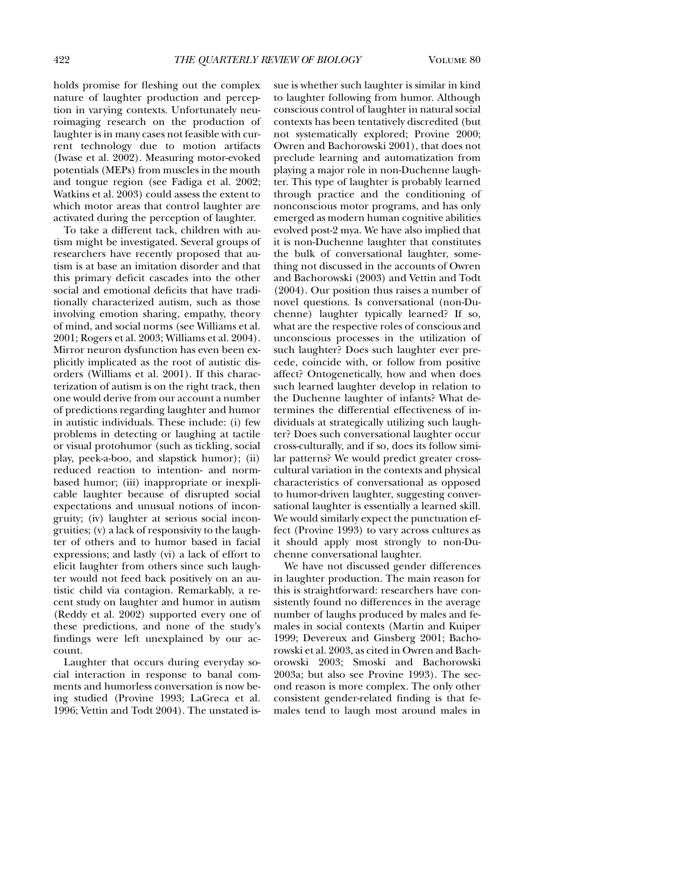holds promise for fleshing out the complex nature of laughter production and perception in varying contexts. Unfortunately neuroimaging research on the production of laughter is in many cases not feasible with current technology due to motion artifacts (Iwase et al. 2002). Measuring motor-evoked potentials (MEPs) from muscles in the mouth and tongue region (see Fadiga et al. 2002; Watkins et al. 2003) could assess the extent to which motor areas that control laughter are activated during the perception of laughter.

To take a different tack, children with autism might be investigated. Several groups of researchers have recently proposed that autism is at base an imitation disorder and that this primary deficit cascades into the other social and emotional deficits that have traditionally characterized autism, such as those involving emotion sharing, empathy, theory of mind, and social norms (see Williams et al. 2001; Rogers et al. 2003; Williams et al. 2004). Mirror neuron dysfunction has even been explicitly implicated as the root of autistic disorders (Williams et al. 2001). If this characterization of autism is on the right track, then one would derive from our account a number of predictions regarding laughter and humor in autistic individuals. These include: (i) few problems in detecting or laughing at tactile or visual protohumor (such as tickling, social play, peek-a-boo, and slapstick humor); (ii) reduced reaction to intention- and normbased humor; (iii) inappropriate or inexplicable laughter because of disrupted social expectations and unusual notions of incongruity; (iv) laughter at serious social incongruities; (v) a lack of responsivity to the laughter of others and to humor based in facial expressions; and lastly (vi) a lack of effort to elicit laughter from others since such laughter would not feed back positively on an autistic child via contagion. Remarkably, a recent study on laughter and humor in autism (Reddy et al. 2002) supported every one of these predictions, and none of the study's findings were left unexplained by our account.

Laughter that occurs during everyday social interaction in response to banal comments and humorless conversation is now being studied (Provine 1993; LaGreca et al. 1996; Vettin and Todt 2004). The unstated issue is whether such laughter is similar in kind to laughter following from humor. Although conscious control of laughter in natural social contexts has been tentatively discredited (but not systematically explored; Provine 2000; Owren and Bachorowski 2001), that does not preclude learning and automatization from playing a major role in non-Duchenne laughter. This type of laughter is probably learned through practice and the conditioning of nonconscious motor programs, and has only emerged as modern human cognitive abilities evolved post-2 mya. We have also implied that it is non-Duchenne laughter that constitutes the bulk of conversational laughter, something not discussed in the accounts of Owren and Bachorowski (2003) and Vettin and Todt (2004). Our position thus raises a number of novel questions. Is conversational (non-Duchenne) laughter typically learned? If so, what are the respective roles of conscious and unconscious processes in the utilization of such laughter? Does such laughter ever precede, coincide with, or follow from positive affect? Ontogenetically, how and when does such learned laughter develop in relation to the Duchenne laughter of infants? What determines the differential effectiveness of individuals at strategically utilizing such laughter? Does such conversational laughter occur cross-culturally, and if so, does its follow similar patterns? We would predict greater crosscultural variation in the contexts and physical characteristics of conversational as opposed to humor-driven laughter, suggesting conversational laughter is essentially a learned skill. We would similarly expect the punctuation effect (Provine 1993) to vary across cultures as it should apply most strongly to non-Duchenne conversational laughter.

We have not discussed gender differences in laughter production. The main reason for this is straightforward: researchers have consistently found no differences in the average number of laughs produced by males and females in social contexts (Martin and Kuiper 1999; Devereux and Ginsberg 2001; Bachorowski et al. 2003, as cited in Owren and Bachorowski 2003; Smoski and Bachorowski 2003a; but also see Provine 1993). The second reason is more complex. The only other consistent gender-related finding is that females tend to laugh most around males in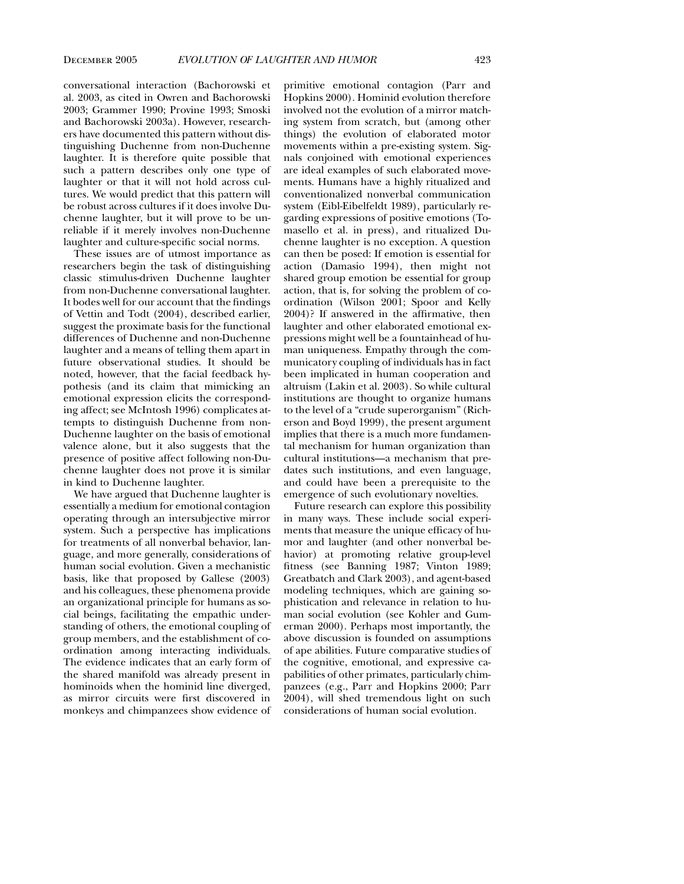conversational interaction (Bachorowski et al. 2003, as cited in Owren and Bachorowski 2003; Grammer 1990; Provine 1993; Smoski and Bachorowski 2003a). However, researchers have documented this pattern without distinguishing Duchenne from non-Duchenne laughter. It is therefore quite possible that such a pattern describes only one type of laughter or that it will not hold across cultures. We would predict that this pattern will be robust across cultures if it does involve Duchenne laughter, but it will prove to be unreliable if it merely involves non-Duchenne laughter and culture-specific social norms.

These issues are of utmost importance as researchers begin the task of distinguishing classic stimulus-driven Duchenne laughter from non-Duchenne conversational laughter. It bodes well for our account that the findings of Vettin and Todt (2004), described earlier, suggest the proximate basis for the functional differences of Duchenne and non-Duchenne laughter and a means of telling them apart in future observational studies. It should be noted, however, that the facial feedback hypothesis (and its claim that mimicking an emotional expression elicits the corresponding affect; see McIntosh 1996) complicates attempts to distinguish Duchenne from non-Duchenne laughter on the basis of emotional valence alone, but it also suggests that the presence of positive affect following non-Duchenne laughter does not prove it is similar in kind to Duchenne laughter.

We have argued that Duchenne laughter is essentially a medium for emotional contagion operating through an intersubjective mirror system. Such a perspective has implications for treatments of all nonverbal behavior, language, and more generally, considerations of human social evolution. Given a mechanistic basis, like that proposed by Gallese (2003) and his colleagues, these phenomena provide an organizational principle for humans as social beings, facilitating the empathic understanding of others, the emotional coupling of group members, and the establishment of coordination among interacting individuals. The evidence indicates that an early form of the shared manifold was already present in hominoids when the hominid line diverged, as mirror circuits were first discovered in monkeys and chimpanzees show evidence of

primitive emotional contagion (Parr and Hopkins 2000). Hominid evolution therefore involved not the evolution of a mirror matching system from scratch, but (among other things) the evolution of elaborated motor movements within a pre-existing system. Signals conjoined with emotional experiences are ideal examples of such elaborated movements. Humans have a highly ritualized and conventionalized nonverbal communication system (Eibl-Eibelfeldt 1989), particularly regarding expressions of positive emotions (Tomasello et al. in press), and ritualized Duchenne laughter is no exception. A question can then be posed: If emotion is essential for action (Damasio 1994), then might not shared group emotion be essential for group action, that is, for solving the problem of coordination (Wilson 2001; Spoor and Kelly 2004)? If answered in the affirmative, then laughter and other elaborated emotional expressions might well be a fountainhead of human uniqueness. Empathy through the communicatory coupling of individuals has in fact been implicated in human cooperation and altruism (Lakin et al. 2003). So while cultural institutions are thought to organize humans to the level of a "crude superorganism" (Richerson and Boyd 1999), the present argument implies that there is a much more fundamental mechanism for human organization than cultural institutions—a mechanism that predates such institutions, and even language, and could have been a prerequisite to the emergence of such evolutionary novelties.

Future research can explore this possibility in many ways. These include social experiments that measure the unique efficacy of humor and laughter (and other nonverbal behavior) at promoting relative group-level fitness (see Banning 1987; Vinton 1989; Greatbatch and Clark 2003), and agent-based modeling techniques, which are gaining sophistication and relevance in relation to human social evolution (see Kohler and Gumerman 2000). Perhaps most importantly, the above discussion is founded on assumptions of ape abilities. Future comparative studies of the cognitive, emotional, and expressive capabilities of other primates, particularly chimpanzees (e.g., Parr and Hopkins 2000; Parr 2004), will shed tremendous light on such considerations of human social evolution.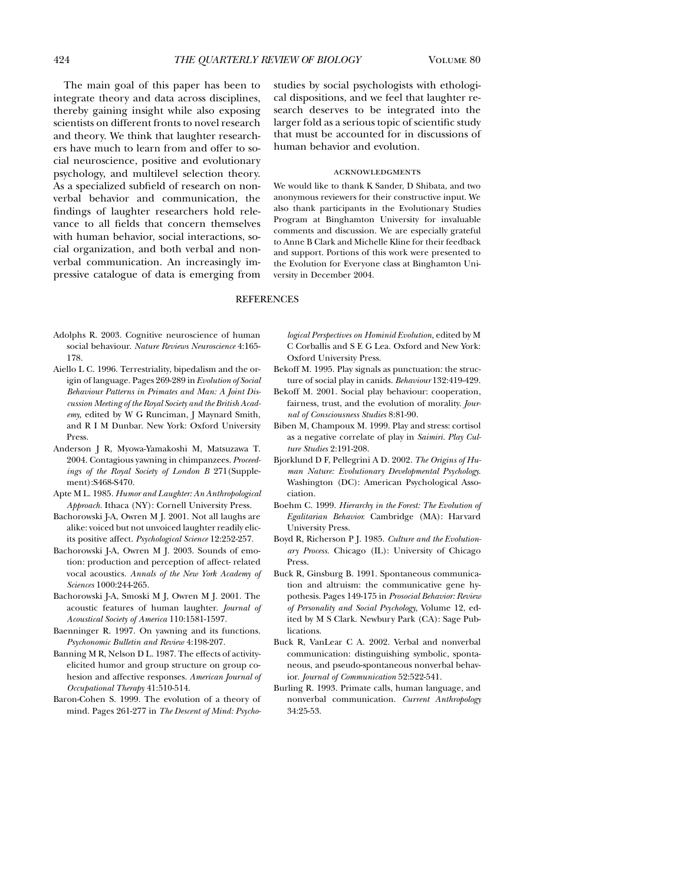The main goal of this paper has been to integrate theory and data across disciplines, thereby gaining insight while also exposing scientists on different fronts to novel research and theory. We think that laughter researchers have much to learn from and offer to social neuroscience, positive and evolutionary psychology, and multilevel selection theory. As a specialized subfield of research on nonverbal behavior and communication, the findings of laughter researchers hold relevance to all fields that concern themselves with human behavior, social interactions, social organization, and both verbal and nonverbal communication. An increasingly impressive catalogue of data is emerging from

studies by social psychologists with ethological dispositions, and we feel that laughter research deserves to be integrated into the larger fold as a serious topic of scientific study that must be accounted for in discussions of human behavior and evolution.

#### acknowledgments

We would like to thank K Sander, D Shibata, and two anonymous reviewers for their constructive input. We also thank participants in the Evolutionary Studies Program at Binghamton University for invaluable comments and discussion. We are especially grateful to Anne B Clark and Michelle Kline for their feedback and support. Portions of this work were presented to the Evolution for Everyone class at Binghamton University in December 2004.

#### **REFERENCES**

- Adolphs R. 2003. Cognitive neuroscience of human social behaviour. *Nature Reviews Neuroscience* 4:165- 178.
- Aiello L C. 1996. Terrestriality, bipedalism and the origin of language. Pages 269-289 in *Evolution of Social Behaviour Patterns in Primates and Man: A Joint Discussion Meeting of the Royal Society and the British Academy,* edited by W G Runciman, J Maynard Smith, and R I M Dunbar. New York: Oxford University Press.
- Anderson J R, Myowa-Yamakoshi M, Matsuzawa T. 2004. Contagious yawning in chimpanzees. *Proceedings of the Royal Society of London B* 271(Supplement):S468-S470.
- Apte M L. 1985. *Humor and Laughter: An Anthropological* Approach. Ithaca (NY): Cornell University Press.
- Bachorowski J-A, Owren M J. 2001. Not all laughs are alike: voiced but not unvoiced laughter readily elicits positive affect. *Psychological Science* 12:252-257.
- Bachorowski J-A, Owren M J. 2003. Sounds of emotion: production and perception of affect- related vocal acoustics. *Annals of the New York Academy of Sciences* 1000:244-265.
- Bachorowski J-A, Smoski M J, Owren M J. 2001. The acoustic features of human laughter. *Journal of Acoustical Society of America* 110:1581-1597.
- Baenninger R. 1997. On yawning and its functions. *Psychonomic Bulletin and Review* 4:198-207.
- Banning M R, Nelson D L. 1987. The effects of activityelicited humor and group structure on group cohesion and affective responses. *American Journal of Occupational Therapy* 41:510-514.
- Baron-Cohen S. 1999. The evolution of a theory of mind. Pages 261-277 in *The Descent of Mind: Psycho-*

*logical Perspectives on Hominid Evolution,* edited by M C Corballis and S E G Lea. Oxford and New York: Oxford University Press.

- Bekoff M. 1995. Play signals as punctuation: the structure of social play in canids. *Behaviour* 132:419-429.
- Bekoff M. 2001. Social play behaviour: cooperation, fairness, trust, and the evolution of morality. *Journal of Consciousness Studies* 8:81-90.
- Biben M, Champoux M. 1999. Play and stress: cortisol as a negative correlate of play in *Saimiri. Play Culture Studies* 2:191-208.
- Bjorklund D F, Pellegrini A D. 2002. *The Origins of Human Nature: Evolutionary Developmental Psychology.* Washington (DC): American Psychological Association.
- Boehm C. 1999. *Hierarchy in the Forest: The Evolution of Egalitarian Behavior.* Cambridge (MA): Harvard University Press.
- Boyd R, Richerson P J. 1985. *Culture and the Evolutionary Process.* Chicago (IL): University of Chicago Press.
- Buck R, Ginsburg B. 1991. Spontaneous communication and altruism: the communicative gene hypothesis. Pages 149-175 in *Prosocial Behavior: Review of Personality and Social Psychology,* Volume 12, edited by M S Clark. Newbury Park (CA): Sage Publications.
- Buck R, VanLear C A. 2002. Verbal and nonverbal communication: distinguishing symbolic, spontaneous, and pseudo-spontaneous nonverbal behavior. *Journal of Communication* 52:522-541.
- Burling R. 1993. Primate calls, human language, and nonverbal communication. *Current Anthropology* 34:25-53.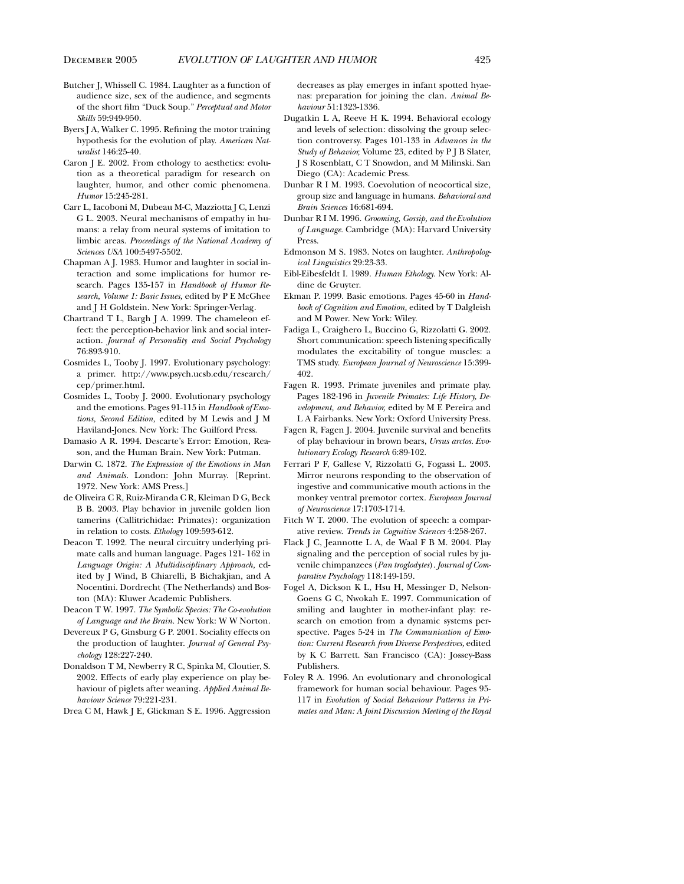- Butcher J, Whissell C. 1984. Laughter as a function of audience size, sex of the audience, and segments of the short film "Duck Soup." *Perceptual and Motor Skills* 59:949-950.
- Byers J A, Walker C. 1995. Refining the motor training hypothesis for the evolution of play. *American Naturalist* 146:25-40.
- Caron J E. 2002. From ethology to aesthetics: evolution as a theoretical paradigm for research on laughter, humor, and other comic phenomena. *Humor* 15:245-281.
- Carr L, Iacoboni M, Dubeau M-C, Mazziotta J C, Lenzi G L. 2003. Neural mechanisms of empathy in humans: a relay from neural systems of imitation to limbic areas. *Proceedings of the National Academy of Sciences USA* 100:5497-5502.
- Chapman A J. 1983. Humor and laughter in social interaction and some implications for humor research. Pages 135-157 in *Handbook of Humor Research, Volume 1: Basic Issues,* edited by P E McGhee and J H Goldstein. New York: Springer-Verlag.
- Chartrand T L, Bargh J A. 1999. The chameleon effect: the perception-behavior link and social interaction. *Journal of Personality and Social Psychology* 76:893-910.
- Cosmides L, Tooby J. 1997. Evolutionary psychology: a primer. http://www.psych.ucsb.edu/research/ cep/primer.html.
- Cosmides L, Tooby J. 2000. Evolutionary psychology and the emotions. Pages 91-115 in *Handbook of Emotions, Second Edition,* edited by M Lewis and J M Haviland-Jones. New York: The Guilford Press.
- Damasio A R. 1994. Descarte's Error: Emotion, Reason, and the Human Brain. New York: Putman.
- Darwin C. 1872. *The Expression of the Emotions in Man and Animals.* London: John Murray. [Reprint. 1972. New York: AMS Press.]
- de Oliveira C R, Ruiz-Miranda C R, Kleiman D G, Beck B B. 2003. Play behavior in juvenile golden lion tamerins (Callitrichidae: Primates): organization in relation to costs. *Ethology* 109:593-612.
- Deacon T. 1992. The neural circuitry underlying primate calls and human language. Pages 121- 162 in *Language Origin: A Multidisciplinary Approach,* edited by J Wind, B Chiarelli, B Bichakjian, and A Nocentini. Dordrecht (The Netherlands) and Boston (MA): Kluwer Academic Publishers.
- Deacon T W. 1997. *The Symbolic Species: The Co-evolution of Language and the Brain.* New York: W W Norton.
- Devereux P G, Ginsburg G P. 2001. Sociality effects on the production of laughter. *Journal of General Psychology* 128:227-240.
- Donaldson T M, Newberry R C, Spinka M, Cloutier, S. 2002. Effects of early play experience on play behaviour of piglets after weaning. *Applied Animal Behaviour Science* 79:221-231.
- Drea C M, Hawk J E, Glickman S E. 1996. Aggression

decreases as play emerges in infant spotted hyaenas: preparation for joining the clan. *Animal Behaviour* 51:1323-1336.

- Dugatkin L A, Reeve H K. 1994. Behavioral ecology and levels of selection: dissolving the group selection controversy. Pages 101-133 in *Advances in the Study of Behavior,* Volume 23, edited by P J B Slater, J S Rosenblatt, C T Snowdon, and M Milinski. San Diego (CA): Academic Press.
- Dunbar R I M. 1993. Coevolution of neocortical size, group size and language in humans. *Behavioral and Brain Sciences* 16:681-694.
- Dunbar R I M. 1996. *Grooming, Gossip, and the Evolution of Language.* Cambridge (MA): Harvard University Press.
- Edmonson M S. 1983. Notes on laughter. *Anthropological Linguistics* 29:23-33.
- Eibl-Eibesfeldt I. 1989. *Human Ethology.* New York: Aldine de Gruyter.
- Ekman P. 1999. Basic emotions. Pages 45-60 in *Handbook of Cognition and Emotion,* edited by T Dalgleish and M Power. New York: Wiley.
- Fadiga L, Craighero L, Buccino G, Rizzolatti G. 2002. Short communication: speech listening specifically modulates the excitability of tongue muscles: a TMS study. *European Journal of Neuroscience* 15:399- 402.
- Fagen R. 1993. Primate juveniles and primate play. Pages 182-196 in *Juvenile Primates: Life History, Development, and Behavior,* edited by M E Pereira and L A Fairbanks. New York: Oxford University Press.
- Fagen R, Fagen J. 2004. Juvenile survival and benefits of play behaviour in brown bears, *Ursus arctos. Evolutionary Ecology Research* 6:89-102.
- Ferrari P F, Gallese V, Rizzolatti G, Fogassi L. 2003. Mirror neurons responding to the observation of ingestive and communicative mouth actions in the monkey ventral premotor cortex. *European Journal of Neuroscience* 17:1703-1714.
- Fitch W T. 2000. The evolution of speech: a comparative review. *Trends in Cognitive Sciences* 4:258-267.
- Flack J C, Jeannotte L A, de Waal F B M. 2004. Play signaling and the perception of social rules by juvenile chimpanzees (*Pan troglodytes*). *Journal of Comparative Psychology* 118:149-159.
- Fogel A, Dickson K L, Hsu H, Messinger D, Nelson-Goens G C, Nwokah E. 1997. Communication of smiling and laughter in mother-infant play: research on emotion from a dynamic systems perspective. Pages 5-24 in *The Communication of Emotion: Current Research from Diverse Perspectives,* edited by K C Barrett. San Francisco (CA): Jossey-Bass Publishers.
- Foley R A. 1996. An evolutionary and chronological framework for human social behaviour. Pages 95- 117 in *Evolution of Social Behaviour Patterns in Primates and Man: A Joint Discussion Meeting of the Royal*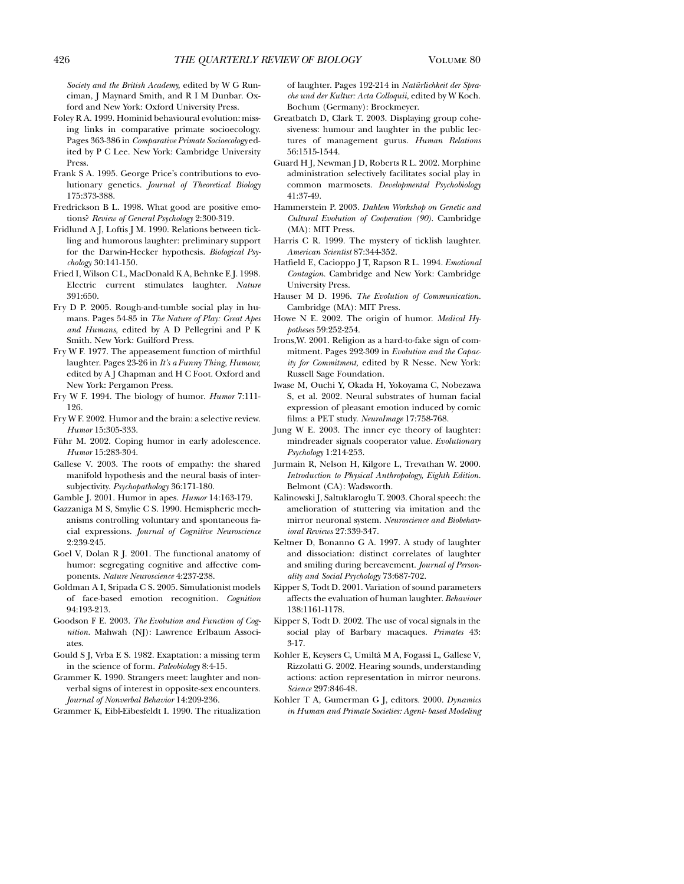*Society and the British Academy,* edited by W G Runciman, J Maynard Smith, and R I M Dunbar. Oxford and New York: Oxford University Press.

- Foley R A. 1999. Hominid behavioural evolution: missing links in comparative primate socioecology. Pages 363-386 in *Comparative Primate Socioecology* edited by P C Lee. New York: Cambridge University Press.
- Frank S A. 1995. George Price's contributions to evolutionary genetics. *Journal of Theoretical Biology* 175:373-388.
- Fredrickson B L. 1998. What good are positive emotions? *Review of General Psychology* 2:300-319.
- Fridlund A J, Loftis J M. 1990. Relations between tickling and humorous laughter: preliminary support for the Darwin-Hecker hypothesis. *Biological Psychology* 30:141-150.
- Fried I, Wilson C L, MacDonald K A, Behnke E J. 1998. Electric current stimulates laughter. *Nature* 391:650.
- Fry D P. 2005. Rough-and-tumble social play in humans. Pages 54-85 in *The Nature of Play: Great Apes and Humans,* edited by A D Pellegrini and P K Smith. New York: Guilford Press.
- Fry W F. 1977. The appeasement function of mirthful laughter. Pages 23-26 in *It's a Funny Thing, Humour,* edited by A J Chapman and H C Foot. Oxford and New York: Pergamon Press.
- Fry W F. 1994. The biology of humor. *Humor* 7:111- 126.
- Fry W F. 2002. Humor and the brain: a selective review. *Humor* 15:305-333.
- Führ M. 2002. Coping humor in early adolescence. *Humor* 15:283-304.
- Gallese V. 2003. The roots of empathy: the shared manifold hypothesis and the neural basis of intersubjectivity. *Psychopathology* 36:171-180.
- Gamble J. 2001. Humor in apes. *Humor* 14:163-179.
- Gazzaniga M S, Smylie C S. 1990. Hemispheric mechanisms controlling voluntary and spontaneous facial expressions. *Journal of Cognitive Neuroscience* 2:239-245.
- Goel V, Dolan R J. 2001. The functional anatomy of humor: segregating cognitive and affective components. *Nature Neuroscience* 4:237-238.
- Goldman A I, Sripada C S. 2005. Simulationist models of face-based emotion recognition. *Cognition* 94:193-213.
- Goodson F E. 2003. *The Evolution and Function of Cognition.* Mahwah (NJ): Lawrence Erlbaum Associates.
- Gould S J, Vrba E S. 1982. Exaptation: a missing term in the science of form. *Paleobiology* 8:4-15.
- Grammer K. 1990. Strangers meet: laughter and nonverbal signs of interest in opposite-sex encounters. *Journal of Nonverbal Behavior* 14:209-236.
- Grammer K, Eibl-Eibesfeldt I. 1990. The ritualization

of laughter. Pages 192-214 in Natürlichkeit der Spra*che und der Kultur: Acta Colloquii,* edited by W Koch. Bochum (Germany): Brockmeyer.

- Greatbatch D, Clark T. 2003. Displaying group cohesiveness: humour and laughter in the public lectures of management gurus. *Human Relations* 56:1515-1544.
- Guard H J, Newman J D, Roberts R L. 2002. Morphine administration selectively facilitates social play in common marmosets. *Developmental Psychobiology* 41:37-49.
- Hammerstein P. 2003*. Dahlem Workshop on Genetic and Cultural Evolution of Cooperation (90).* Cambridge (MA): MIT Press.
- Harris C R. 1999. The mystery of ticklish laughter. *American Scientist* 87:344-352.
- Hatfield E, Cacioppo J T, Rapson R L. 1994. *Emotional Contagion.* Cambridge and New York: Cambridge University Press.
- Hauser M D. 1996. *The Evolution of Communication.* Cambridge (MA): MIT Press.
- Howe N E. 2002. The origin of humor. *Medical Hypotheses* 59:252-254.
- Irons,W. 2001. Religion as a hard-to-fake sign of commitment. Pages 292-309 in *Evolution and the Capacity for Commitment,* edited by R Nesse. New York: Russell Sage Foundation.
- Iwase M, Ouchi Y, Okada H, Yokoyama C, Nobezawa S, et al. 2002. Neural substrates of human facial expression of pleasant emotion induced by comic films: a PET study. *NeuroImage* 17:758-768.
- Jung W E. 2003. The inner eye theory of laughter: mindreader signals cooperator value. *Evolutionary Psychology* 1:214-253.
- Jurmain R, Nelson H, Kilgore L, Trevathan W. 2000. *Introduction to Physical Anthropology, Eighth Edition.* Belmont (CA): Wadsworth.
- Kalinowski J, Saltuklaroglu T. 2003. Choral speech: the amelioration of stuttering via imitation and the mirror neuronal system. *Neuroscience and Biobehavioral Reviews* 27:339-347.
- Keltner D, Bonanno G A. 1997. A study of laughter and dissociation: distinct correlates of laughter and smiling during bereavement. *Journal of Personality and Social Psychology* 73:687-702.
- Kipper S, Todt D. 2001. Variation of sound parameters affects the evaluation of human laughter. *Behaviour* 138:1161-1178.
- Kipper S, Todt D. 2002. The use of vocal signals in the social play of Barbary macaques. *Primates* 43: 3-17.
- Kohler E, Keysers C, Umilta` M A, Fogassi L, Gallese V, Rizzolatti G. 2002. Hearing sounds, understanding actions: action representation in mirror neurons. *Science* 297:846-48.
- Kohler T A, Gumerman G J, editors. 2000. *Dynamics in Human and Primate Societies: Agent- based Modeling*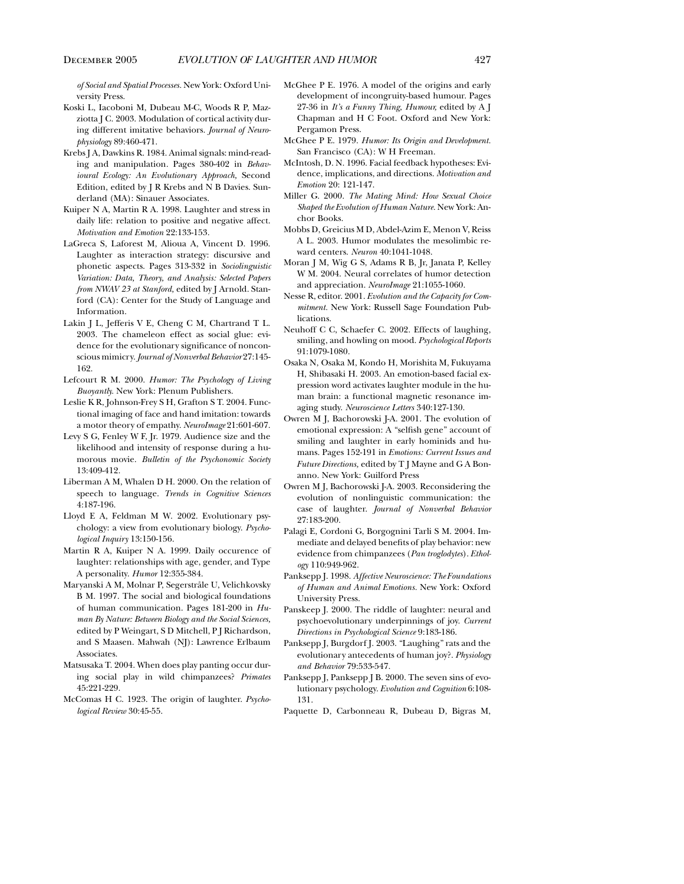*of Social and Spatial Processes.* New York: Oxford University Press.

- Koski L, Iacoboni M, Dubeau M-C, Woods R P, Mazziotta J C. 2003. Modulation of cortical activity during different imitative behaviors. *Journal of Neurophysiology* 89:460-471.
- Krebs J A, Dawkins R. 1984. Animal signals: mind-reading and manipulation. Pages 380-402 in *Behavioural Ecology: An Evolutionary Approach,* Second Edition, edited by J R Krebs and N B Davies. Sunderland (MA): Sinauer Associates.
- Kuiper N A, Martin R A. 1998. Laughter and stress in daily life: relation to positive and negative affect. *Motivation and Emotion* 22:133-153.
- LaGreca S, Laforest M, Alioua A, Vincent D. 1996. Laughter as interaction strategy: discursive and phonetic aspects. Pages 313-332 in *Sociolinguistic Variation: Data, Theory, and Analysis: Selected Papers from NWAV 23 at Stanford,* edited by J Arnold. Stanford (CA): Center for the Study of Language and Information.
- Lakin J L, Jefferis V E, Cheng C M, Chartrand T L. 2003. The chameleon effect as social glue: evidence for the evolutionary significance of nonconscious mimicry. *Journal of Nonverbal Behavior* 27:145- 162.
- Lefcourt R M. 2000. *Humor: The Psychology of Living Buoyantly.* New York: Plenum Publishers.
- Leslie K R, Johnson-Frey S H, Grafton S T. 2004. Functional imaging of face and hand imitation: towards a motor theory of empathy. *NeuroImage* 21:601-607.
- Levy S G, Fenley W F, Jr. 1979. Audience size and the likelihood and intensity of response during a humorous movie. *Bulletin of the Psychonomic Society* 13:409-412.
- Liberman A M, Whalen D H. 2000. On the relation of speech to language. *Trends in Cognitive Sciences* 4:187-196.
- Lloyd E A, Feldman M W. 2002. Evolutionary psychology: a view from evolutionary biology. *Psychological Inquiry* 13:150-156.
- Martin R A, Kuiper N A. 1999. Daily occurence of laughter: relationships with age, gender, and Type A personality. *Humor* 12:355-384.
- Maryanski A M, Molnar P, Segerstråle U, Velichkovsky B M. 1997. The social and biological foundations of human communication. Pages 181-200 in *Human By Nature: Between Biology and the Social Sciences,* edited by P Weingart, S D Mitchell, P J Richardson, and S Maasen. Mahwah (NJ): Lawrence Erlbaum Associates.
- Matsusaka T. 2004. When does play panting occur during social play in wild chimpanzees? *Primates* 45:221-229.
- McComas H C. 1923. The origin of laughter. *Psychological Review* 30:45-55.
- McGhee P E. 1976. A model of the origins and early development of incongruity-based humour. Pages 27-36 in *It's a Funny Thing, Humour,* edited by A J Chapman and H C Foot. Oxford and New York: Pergamon Press.
- McGhee P E. 1979. *Humor: Its Origin and Development.* San Francisco (CA): W H Freeman.
- McIntosh, D. N. 1996. Facial feedback hypotheses: Evidence, implications, and directions. *Motivation and Emotion* 20: 121-147.
- Miller G. 2000. *The Mating Mind: How Sexual Choice Shaped the Evolution of Human Nature.* New York: Anchor Books.
- Mobbs D, Greicius M D, Abdel-Azim E, Menon V, Reiss A L. 2003. Humor modulates the mesolimbic reward centers. *Neuron* 40:1041-1048.
- Moran J M, Wig G S, Adams R B, Jr, Janata P, Kelley W M. 2004. Neural correlates of humor detection and appreciation. *NeuroImage* 21:1055-1060.
- Nesse R, editor. 2001. *Evolution and the Capacity for Commitment.* New York: Russell Sage Foundation Publications.
- Neuhoff C C, Schaefer C. 2002. Effects of laughing, smiling, and howling on mood. *Psychological Reports* 91:1079-1080.
- Osaka N, Osaka M, Kondo H, Morishita M, Fukuyama H, Shibasaki H. 2003. An emotion-based facial expression word activates laughter module in the human brain: a functional magnetic resonance imaging study. *Neuroscience Letters* 340:127-130.
- Owren M J, Bachorowski J-A. 2001. The evolution of emotional expression: A "selfish gene" account of smiling and laughter in early hominids and humans. Pages 152-191 in *Emotions: Current Issues and Future Directions,* edited by T J Mayne and G A Bonanno. New York: Guilford Press
- Owren M J, Bachorowski J-A. 2003. Reconsidering the evolution of nonlinguistic communication: the case of laughter. *Journal of Nonverbal Behavior* 27:183-200.
- Palagi E, Cordoni G, Borgognini Tarli S M. 2004. Immediate and delayed benefits of play behavior: new evidence from chimpanzees (*Pan troglodytes*). *Ethology* 110:949-962.
- Panksepp J. 1998. *Affective Neuroscience: The Foundations of Human and Animal Emotions.* New York: Oxford University Press.
- Panskeep J. 2000. The riddle of laughter: neural and psychoevolutionary underpinnings of joy. *Current Directions in Psychological Science* 9:183-186.
- Panksepp J, Burgdorf J. 2003. "Laughing" rats and the evolutionary antecedents of human joy?. *Physiology and Behavior* 79:533-547.
- Panksepp J, Panksepp J B. 2000. The seven sins of evolutionary psychology. *Evolution and Cognition* 6:108- 131.
- Paquette D, Carbonneau R, Dubeau D, Bigras M,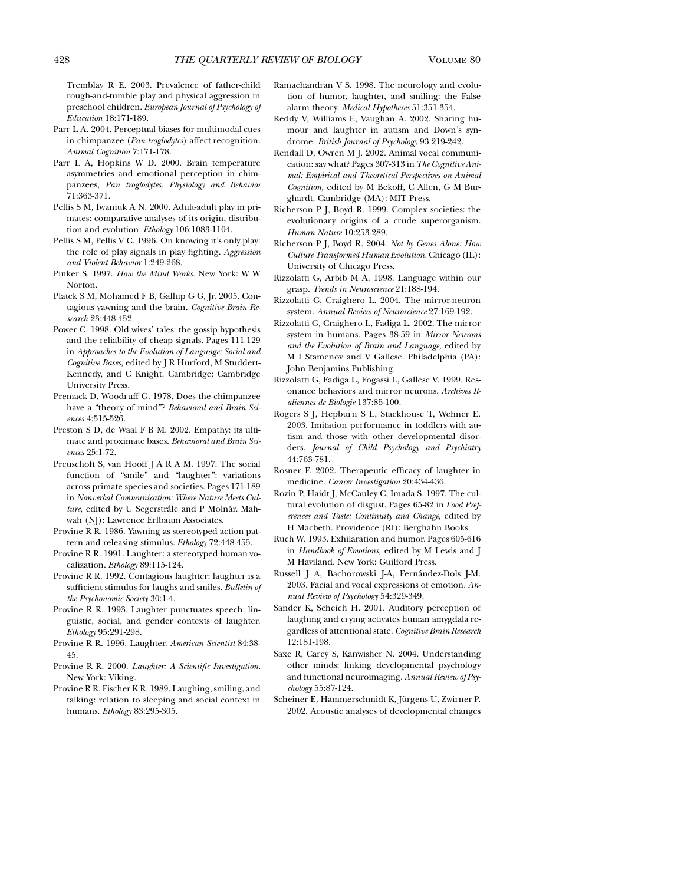Tremblay R E. 2003. Prevalence of father-child rough-and-tumble play and physical aggression in preschool children. *European Journal of Psychology of Education* 18:171-189.

- Parr L A. 2004. Perceptual biases for multimodal cues in chimpanzee (*Pan troglodytes*) affect recognition. *Animal Cognition* 7:171-178.
- Parr L A, Hopkins W D. 2000. Brain temperature asymmetries and emotional perception in chimpanzees, *Pan troglodytes. Physiology and Behavior* 71:363-371.
- Pellis S M, Iwaniuk A N. 2000. Adult-adult play in primates: comparative analyses of its origin, distribution and evolution. *Ethology* 106:1083-1104.
- Pellis S M, Pellis V C. 1996. On knowing it's only play: the role of play signals in play fighting. *Aggression and Violent Behavior* 1:249-268.
- Pinker S. 1997. *How the Mind Works.* New York: W W Norton.
- Platek S M, Mohamed F B, Gallup G G, Jr. 2005. Contagious yawning and the brain. *Cognitive Brain Research* 23:448-452.
- Power C. 1998. Old wives' tales: the gossip hypothesis and the reliability of cheap signals. Pages 111-129 in *Approaches to the Evolution of Language: Social and Cognitive Bases,* edited by J R Hurford, M Studdert-Kennedy, and C Knight. Cambridge: Cambridge University Press.
- Premack D, Woodruff G. 1978. Does the chimpanzee have a "theory of mind"? *Behavioral and Brain Sciences* 4:515-526.
- Preston S D, de Waal F B M. 2002. Empathy: its ultimate and proximate bases. *Behavioral and Brain Sciences* 25:1-72.
- Preuschoft S, van Hooff J A R A M. 1997. The social function of "smile" and "laughter": variations across primate species and societies. Pages 171-189 in *Nonverbal Communication: Where Nature Meets Cul*ture, edited by U Segerstråle and P Molnár. Mahwah (NJ): Lawrence Erlbaum Associates.
- Provine R R. 1986. Yawning as stereotyped action pattern and releasing stimulus. *Ethology* 72:448-455.
- Provine R R. 1991. Laughter: a stereotyped human vocalization. *Ethology* 89:115-124.
- Provine R R. 1992. Contagious laughter: laughter is a sufficient stimulus for laughs and smiles. *Bulletin of the Psychonomic Society* 30:1-4.
- Provine R R. 1993. Laughter punctuates speech: linguistic, social, and gender contexts of laughter. *Ethology* 95:291-298.
- Provine R R. 1996. Laughter. *American Scientist* 84:38- 45.
- Provine R R. 2000. *Laughter: A Scientific Investigation.* New York: Viking.
- Provine R R, Fischer K R. 1989. Laughing, smiling, and talking: relation to sleeping and social context in humans. *Ethology* 83:295-305.
- Ramachandran V S. 1998. The neurology and evolution of humor, laughter, and smiling: the False alarm theory. *Medical Hypotheses* 51:351-354.
- Reddy V, Williams E, Vaughan A. 2002. Sharing humour and laughter in autism and Down's syndrome. *British Journal of Psychology* 93:219-242.
- Rendall D, Owren M J. 2002. Animal vocal communication: say what? Pages 307-313 in *The Cognitive Animal: Empirical and Theoretical Perspectives on Animal Cognition,* edited by M Bekoff, C Allen, G M Burghardt. Cambridge (MA): MIT Press.
- Richerson P J, Boyd R. 1999. Complex societies: the evolutionary origins of a crude superorganism. *Human Nature* 10:253-289.
- Richerson P J, Boyd R. 2004. *Not by Genes Alone: How Culture Transformed Human Evolution.* Chicago (IL): University of Chicago Press.
- Rizzolatti G, Arbib M A. 1998. Language within our grasp. *Trends in Neuroscience* 21:188-194.
- Rizzolatti G, Craighero L. 2004. The mirror-neuron system. *Annual Review of Neuroscience* 27:169-192.
- Rizzolatti G, Craighero L, Fadiga L. 2002. The mirror system in humans. Pages 38-59 in *Mirror Neurons and the Evolution of Brain and Language,* edited by M I Stamenov and V Gallese. Philadelphia (PA): John Benjamins Publishing.
- Rizzolatti G, Fadiga L, Fogassi L, Gallese V. 1999. Resonance behaviors and mirror neurons. *Archives Italiennes de Biologie* 137:85-100.
- Rogers S J, Hepburn S L, Stackhouse T, Wehner E. 2003. Imitation performance in toddlers with autism and those with other developmental disorders. *Journal of Child Psychology and Psychiatry* 44:763-781.
- Rosner F. 2002. Therapeutic efficacy of laughter in medicine. *Cancer Investigation* 20:434-436.
- Rozin P, Haidt J, McCauley C, Imada S. 1997. The cultural evolution of disgust. Pages 65-82 in *Food Preferences and Taste: Continuity and Change,* edited by H Macbeth. Providence (RI): Berghahn Books.
- Ruch W. 1993. Exhilaration and humor. Pages 605-616 in *Handbook of Emotions,* edited by M Lewis and J M Haviland. New York: Guilford Press.
- Russell J A, Bachorowski J-A, Fernández-Dols J-M. 2003. Facial and vocal expressions of emotion. *Annual Review of Psychology* 54:329-349.
- Sander K, Scheich H. 2001. Auditory perception of laughing and crying activates human amygdala regardless of attentional state. *Cognitive Brain Research* 12:181-198.
- Saxe R, Carey S, Kanwisher N. 2004. Understanding other minds: linking developmental psychology and functional neuroimaging. *Annual Review of Psychology* 55:87-124.
- Scheiner E, Hammerschmidt K, Jürgens U, Zwirner P. 2002. Acoustic analyses of developmental changes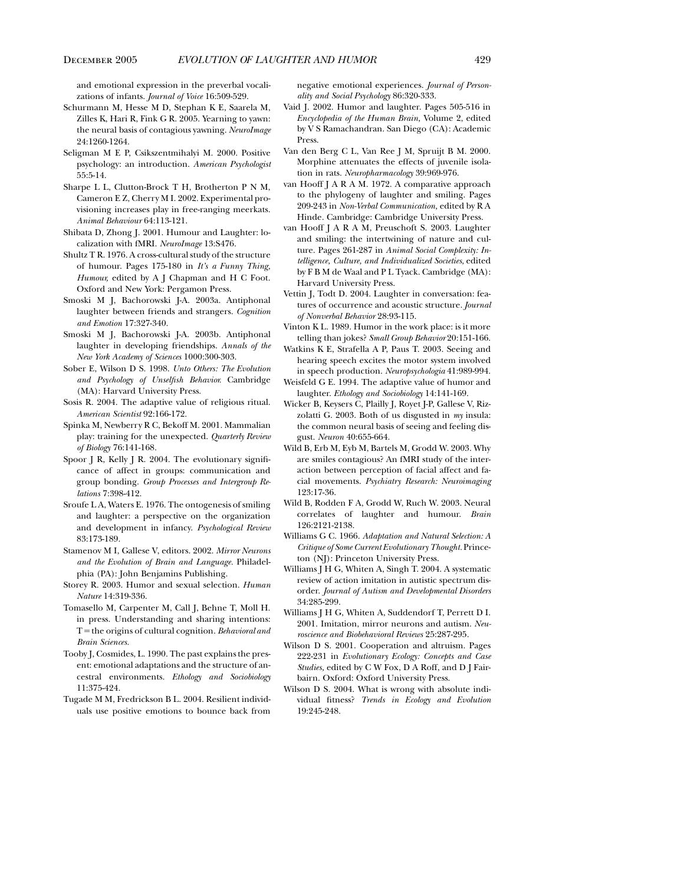and emotional expression in the preverbal vocalizations of infants. *Journal of Voice* 16:509-529.

- Schurmann M, Hesse M D, Stephan K E, Saarela M, Zilles K, Hari R, Fink G R. 2005. Yearning to yawn: the neural basis of contagious yawning. *NeuroImage* 24:1260-1264.
- Seligman M E P, Csikszentmihalyi M. 2000. Positive psychology: an introduction. *American Psychologist* 55:5-14.
- Sharpe L L, Clutton-Brock T H, Brotherton P N M, Cameron E Z, Cherry M I. 2002. Experimental provisioning increases play in free-ranging meerkats. *Animal Behaviour* 64:113-121.
- Shibata D, Zhong J. 2001. Humour and Laughter: localization with fMRI. *NeuroImage* 13:S476.
- Shultz T R. 1976. A cross-cultural study of the structure of humour. Pages 175-180 in *It's a Funny Thing, Humour,* edited by A J Chapman and H C Foot. Oxford and New York: Pergamon Press.
- Smoski M J, Bachorowski J-A. 2003a. Antiphonal laughter between friends and strangers. *Cognition and Emotion* 17:327-340.
- Smoski M J, Bachorowski J-A. 2003b. Antiphonal laughter in developing friendships. *Annals of the New York Academy of Sciences* 1000:300-303.
- Sober E, Wilson D S. 1998. *Unto Others: The Evolution and Psychology of Unselfish Behavior.* Cambridge (MA): Harvard University Press.
- Sosis R. 2004. The adaptive value of religious ritual. *American Scientist* 92:166-172.
- Spinka M, Newberry R C, Bekoff M. 2001. Mammalian play: training for the unexpected. *Quarterly Review of Biology* 76:141-168.
- Spoor J R, Kelly J R. 2004. The evolutionary significance of affect in groups: communication and group bonding. *Group Processes and Intergroup Relations* 7:398-412.
- Sroufe L A, Waters E. 1976. The ontogenesis of smiling and laughter: a perspective on the organization and development in infancy. *Psychological Review* 83:173-189.
- Stamenov M I, Gallese V, editors. 2002. *Mirror Neurons and the Evolution of Brain and Language.* Philadelphia (PA): John Benjamins Publishing.
- Storey R. 2003. Humor and sexual selection. *Human Nature* 14:319-336.
- Tomasello M, Carpenter M, Call J, Behne T, Moll H. in press. Understanding and sharing intentions: T-the origins of cultural cognition. *Behavioral and Brain Sciences.*
- Tooby J, Cosmides, L. 1990. The past explains the present: emotional adaptations and the structure of ancestral environments. *Ethology and Sociobiology* 11:375-424.
- Tugade M M, Fredrickson B L. 2004. Resilient individuals use positive emotions to bounce back from

negative emotional experiences. *Journal of Personality and Social Psychology* 86:320-333.

- Vaid J. 2002. Humor and laughter. Pages 505-516 in *Encyclopedia of the Human Brain,* Volume 2, edited by V S Ramachandran. San Diego (CA): Academic Press.
- Van den Berg C L, Van Ree J M, Spruijt B M. 2000. Morphine attenuates the effects of juvenile isolation in rats. *Neuropharmacology* 39:969-976.
- van Hooff J A R A M. 1972. A comparative approach to the phylogeny of laughter and smiling. Pages 209-243 in *Non-Verbal Communication,* edited by R A Hinde. Cambridge: Cambridge University Press.
- van Hooff J A R A M, Preuschoft S. 2003. Laughter and smiling: the intertwining of nature and culture. Pages 261-287 in *Animal Social Complexity: Intelligence, Culture, and Individualized Societies,* edited by F B M de Waal and P L Tyack. Cambridge (MA): Harvard University Press.
- Vettin J, Todt D. 2004. Laughter in conversation: features of occurrence and acoustic structure. *Journal of Nonverbal Behavior* 28:93-115.
- Vinton K L. 1989. Humor in the work place: is it more telling than jokes? *Small Group Behavior* 20:151-166.
- Watkins K E, Strafella A P, Paus T. 2003. Seeing and hearing speech excites the motor system involved in speech production. *Neuropsychologia* 41:989-994.
- Weisfeld G E. 1994. The adaptive value of humor and laughter. *Ethology and Sociobiology* 14:141-169.
- Wicker B, Keysers C, Plailly J, Royet J-P, Gallese V, Rizzolatti G. 2003. Both of us disgusted in *my* insula: the common neural basis of seeing and feeling disgust. *Neuron* 40:655-664.
- Wild B, Erb M, Eyb M, Bartels M, Grodd W. 2003. Why are smiles contagious? An fMRI study of the interaction between perception of facial affect and facial movements. *Psychiatry Research: Neuroimaging* 123:17-36.
- Wild B, Rodden F A, Grodd W, Ruch W. 2003. Neural correlates of laughter and humour. *Brain* 126:2121-2138.
- Williams G C. 1966. *Adaptation and Natural Selection: A Critique of Some Current Evolutionary Thought.*Princeton (NJ): Princeton University Press.
- Williams J H G, Whiten A, Singh T. 2004. A systematic review of action imitation in autistic spectrum disorder. *Journal of Autism and Developmental Disorders* 34:285-299.
- Williams J H G, Whiten A, Suddendorf T, Perrett D I. 2001. Imitation, mirror neurons and autism. *Neuroscience and Biobehavioral Reviews* 25:287-295.
- Wilson D S. 2001. Cooperation and altruism. Pages 222-231 in *Evolutionary Ecology: Concepts and Case Studies,* edited by C W Fox, D A Roff, and D J Fairbairn. Oxford: Oxford University Press.
- Wilson D S. 2004. What is wrong with absolute individual fitness? *Trends in Ecology and Evolution* 19:245-248.